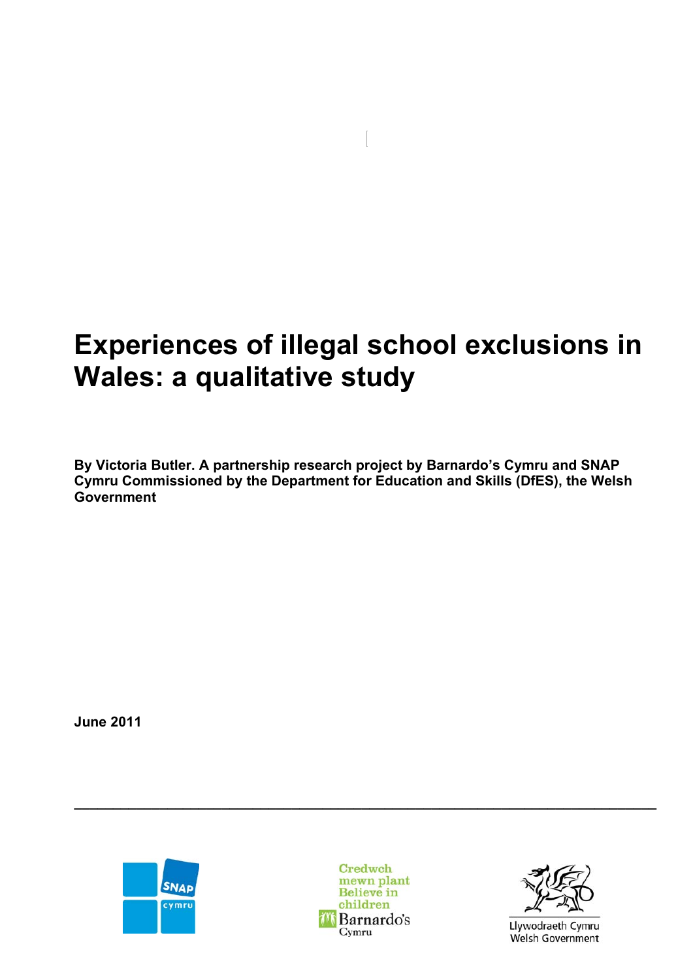# **Experiences of illegal school exclusions in Wales: a qualitative study**

**By Victoria Butler. A partnership research project by Barnardo's Cymru and SNAP Cymru Commissioned by the Department for Education and Skills (DfES), the Welsh Government** 

**June 2011** 





**\_\_\_\_\_\_\_\_\_\_\_\_\_\_\_\_\_\_\_\_\_\_\_\_\_\_\_\_\_\_\_\_\_\_\_\_\_\_\_\_\_\_\_\_\_\_\_\_\_\_\_\_\_\_\_\_\_\_\_\_\_\_\_\_\_\_\_\_\_\_\_\_\_\_\_** 



Llywodraeth Cymru Welsh Government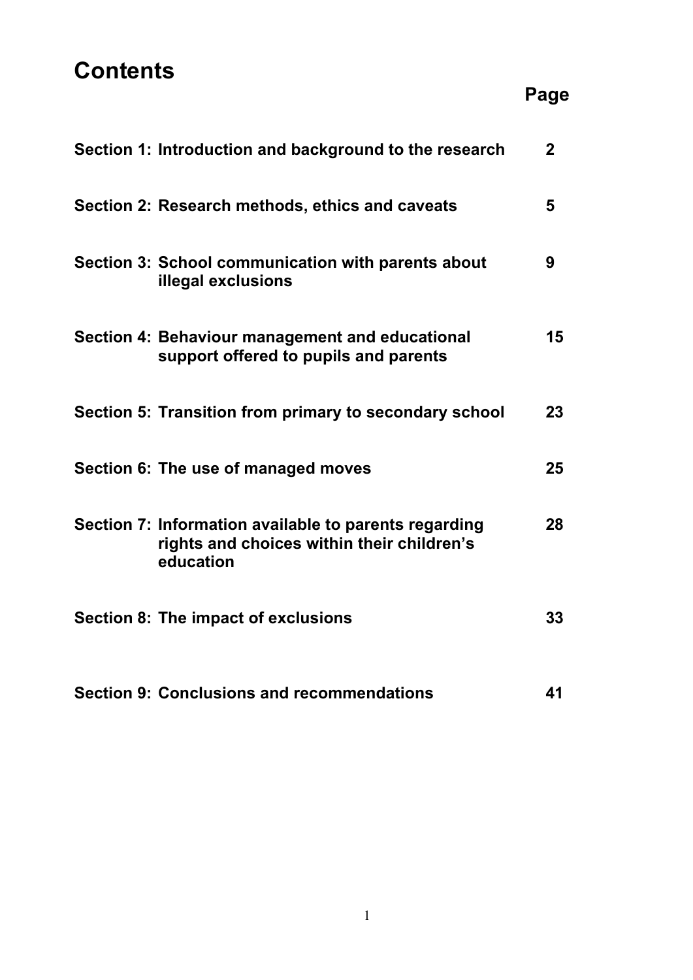# **Contents**

| Section 1: Introduction and background to the research                                                           | $\overline{2}$ |
|------------------------------------------------------------------------------------------------------------------|----------------|
| Section 2: Research methods, ethics and caveats                                                                  | 5              |
| Section 3: School communication with parents about<br>illegal exclusions                                         | 9              |
| Section 4: Behaviour management and educational<br>support offered to pupils and parents                         | 15             |
| Section 5: Transition from primary to secondary school                                                           | 23             |
| Section 6: The use of managed moves                                                                              | 25             |
| Section 7: Information available to parents regarding<br>rights and choices within their children's<br>education | 28             |
| <b>Section 8: The impact of exclusions</b>                                                                       | 33             |
| <b>Section 9: Conclusions and recommendations</b>                                                                | 41             |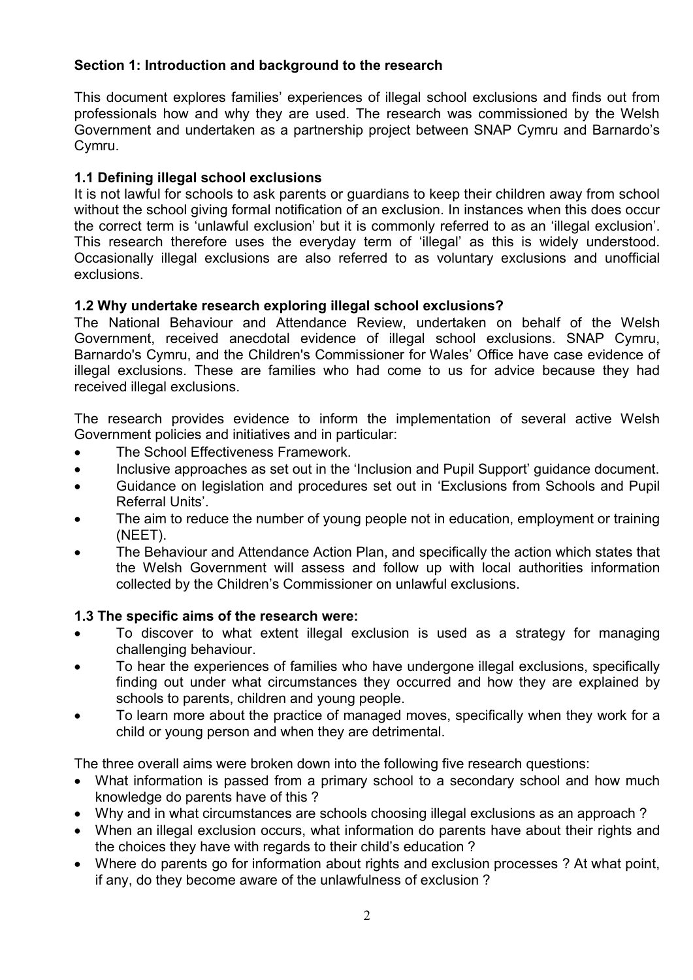# **Section 1: Introduction and background to the research**

This document explores families' experiences of illegal school exclusions and finds out from professionals how and why they are used. The research was commissioned by the Welsh Government and undertaken as a partnership project between SNAP Cymru and Barnardo's Cymru.

# **1.1 Defining illegal school exclusions**

It is not lawful for schools to ask parents or guardians to keep their children away from school without the school giving formal notification of an exclusion. In instances when this does occur the correct term is 'unlawful exclusion' but it is commonly referred to as an 'illegal exclusion'. This research therefore uses the everyday term of 'illegal' as this is widely understood. Occasionally illegal exclusions are also referred to as voluntary exclusions and unofficial exclusions.

# **1.2 Why undertake research exploring illegal school exclusions?**

The National Behaviour and Attendance Review, undertaken on behalf of the Welsh Government, received anecdotal evidence of illegal school exclusions. SNAP Cymru, Barnardo's Cymru, and the Children's Commissioner for Wales' Office have case evidence of illegal exclusions. These are families who had come to us for advice because they had received illegal exclusions.

The research provides evidence to inform the implementation of several active Welsh Government policies and initiatives and in particular:

- The School Effectiveness Framework.
- Inclusive approaches as set out in the 'Inclusion and Pupil Support' guidance document.
- Guidance on legislation and procedures set out in 'Exclusions from Schools and Pupil Referral Units'.
- The aim to reduce the number of young people not in education, employment or training (NEET).
- The Behaviour and Attendance Action Plan, and specifically the action which states that the Welsh Government will assess and follow up with local authorities information collected by the Children's Commissioner on unlawful exclusions.

# **1.3 The specific aims of the research were:**

- To discover to what extent illegal exclusion is used as a strategy for managing challenging behaviour.
- To hear the experiences of families who have undergone illegal exclusions, specifically finding out under what circumstances they occurred and how they are explained by schools to parents, children and young people.
- To learn more about the practice of managed moves, specifically when they work for a child or young person and when they are detrimental.

The three overall aims were broken down into the following five research questions:

- What information is passed from a primary school to a secondary school and how much knowledge do parents have of this ?
- Why and in what circumstances are schools choosing illegal exclusions as an approach ?
- When an illegal exclusion occurs, what information do parents have about their rights and the choices they have with regards to their child's education ?
- Where do parents go for information about rights and exclusion processes ? At what point, if any, do they become aware of the unlawfulness of exclusion ?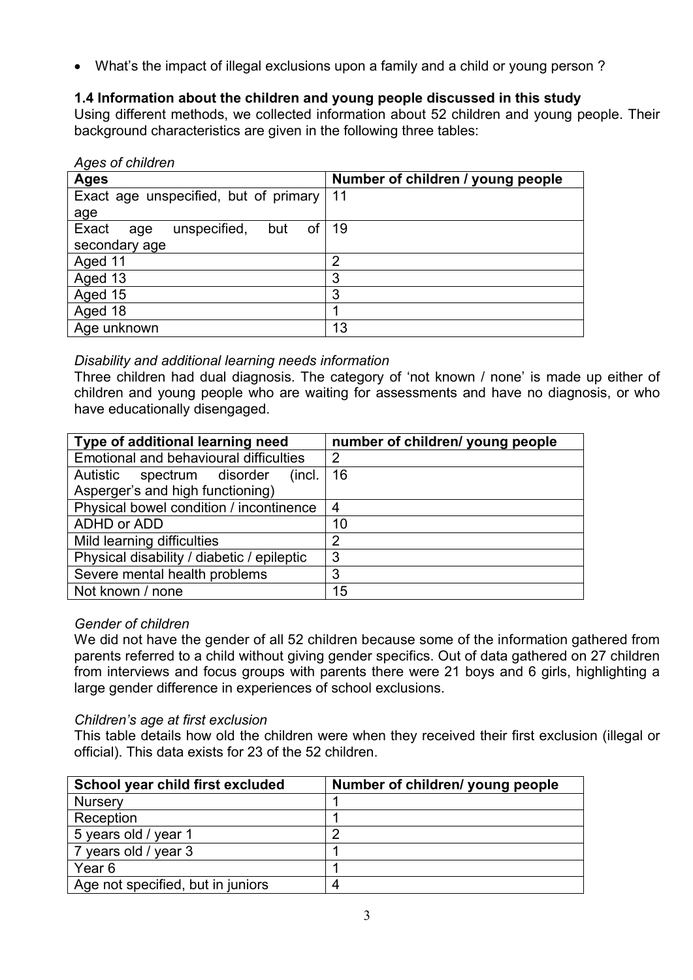What's the impact of illegal exclusions upon a family and a child or young person ?

# **1.4 Information about the children and young people discussed in this study**

Using different methods, we collected information about 52 children and young people. Their background characteristics are given in the following three tables:

| Ages of children |  |  |  |
|------------------|--|--|--|
|------------------|--|--|--|

| <b>Ages</b>                               | Number of children / young people |
|-------------------------------------------|-----------------------------------|
| Exact age unspecified, but of primary     | 11                                |
| age                                       |                                   |
| Exact<br>unspecified,<br>0f<br>but<br>age | 19                                |
| secondary age                             |                                   |
| Aged 11                                   | $\overline{2}$                    |
| Aged 13                                   | 3                                 |
| Aged 15                                   | 3                                 |
| Aged 18                                   |                                   |
| Age unknown                               | 13                                |

# *Disability and additional learning needs information*

Three children had dual diagnosis. The category of 'not known / none' is made up either of children and young people who are waiting for assessments and have no diagnosis, or who have educationally disengaged.

| Type of additional learning need           | number of children/ young people |
|--------------------------------------------|----------------------------------|
| Emotional and behavioural difficulties     | 2                                |
| Autistic spectrum disorder<br>(incl.       | 16                               |
| Asperger's and high functioning)           |                                  |
| Physical bowel condition / incontinence    | 4                                |
| ADHD or ADD                                | 10                               |
| Mild learning difficulties                 | 2                                |
| Physical disability / diabetic / epileptic | 3                                |
| Severe mental health problems              | 3                                |
| Not known / none                           | 15                               |

# *Gender of children*

We did not have the gender of all 52 children because some of the information gathered from parents referred to a child without giving gender specifics. Out of data gathered on 27 children from interviews and focus groups with parents there were 21 boys and 6 girls, highlighting a large gender difference in experiences of school exclusions.

# *Children's age at first exclusion*

This table details how old the children were when they received their first exclusion (illegal or official). This data exists for 23 of the 52 children.

| School year child first excluded  | Number of children/ young people |
|-----------------------------------|----------------------------------|
| <b>Nursery</b>                    |                                  |
| Reception                         |                                  |
| 5 years old / year 1              |                                  |
| 7 years old / year 3              |                                  |
| Year <sub>6</sub>                 |                                  |
| Age not specified, but in juniors |                                  |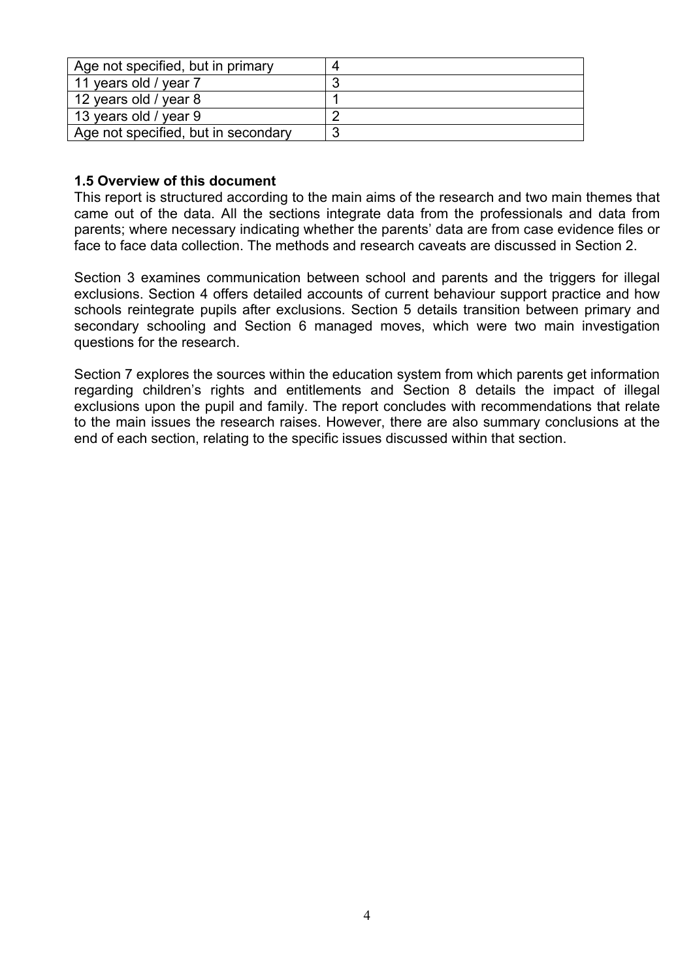| Age not specified, but in primary   | Д |
|-------------------------------------|---|
| 11 years old / year 7               |   |
| 12 years old / year 8               |   |
| 13 years old / year 9               |   |
| Age not specified, but in secondary |   |

## **1.5 Overview of this document**

This report is structured according to the main aims of the research and two main themes that came out of the data. All the sections integrate data from the professionals and data from parents; where necessary indicating whether the parents' data are from case evidence files or face to face data collection. The methods and research caveats are discussed in Section 2.

Section 3 examines communication between school and parents and the triggers for illegal exclusions. Section 4 offers detailed accounts of current behaviour support practice and how schools reintegrate pupils after exclusions. Section 5 details transition between primary and secondary schooling and Section 6 managed moves, which were two main investigation questions for the research.

Section 7 explores the sources within the education system from which parents get information regarding children's rights and entitlements and Section 8 details the impact of illegal exclusions upon the pupil and family. The report concludes with recommendations that relate to the main issues the research raises. However, there are also summary conclusions at the end of each section, relating to the specific issues discussed within that section.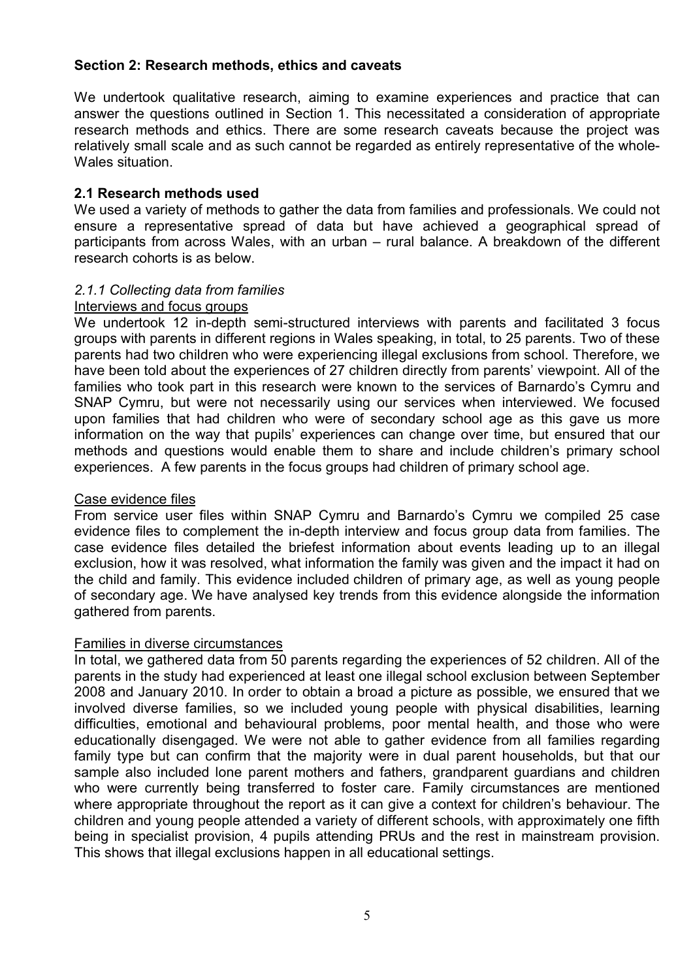## **Section 2: Research methods, ethics and caveats**

We undertook qualitative research, aiming to examine experiences and practice that can answer the questions outlined in Section 1. This necessitated a consideration of appropriate research methods and ethics. There are some research caveats because the project was relatively small scale and as such cannot be regarded as entirely representative of the whole-Wales situation.

## **2.1 Research methods used**

We used a variety of methods to gather the data from families and professionals. We could not ensure a representative spread of data but have achieved a geographical spread of participants from across Wales, with an urban – rural balance. A breakdown of the different research cohorts is as below.

#### *2.1.1 Collecting data from families*

#### Interviews and focus groups

We undertook 12 in-depth semi-structured interviews with parents and facilitated 3 focus groups with parents in different regions in Wales speaking, in total, to 25 parents. Two of these parents had two children who were experiencing illegal exclusions from school. Therefore, we have been told about the experiences of 27 children directly from parents' viewpoint. All of the families who took part in this research were known to the services of Barnardo's Cymru and SNAP Cymru, but were not necessarily using our services when interviewed. We focused upon families that had children who were of secondary school age as this gave us more information on the way that pupils' experiences can change over time, but ensured that our methods and questions would enable them to share and include children's primary school experiences. A few parents in the focus groups had children of primary school age.

## Case evidence files

From service user files within SNAP Cymru and Barnardo's Cymru we compiled 25 case evidence files to complement the in-depth interview and focus group data from families. The case evidence files detailed the briefest information about events leading up to an illegal exclusion, how it was resolved, what information the family was given and the impact it had on the child and family. This evidence included children of primary age, as well as young people of secondary age. We have analysed key trends from this evidence alongside the information gathered from parents.

#### Families in diverse circumstances

In total, we gathered data from 50 parents regarding the experiences of 52 children. All of the parents in the study had experienced at least one illegal school exclusion between September 2008 and January 2010. In order to obtain a broad a picture as possible, we ensured that we involved diverse families, so we included young people with physical disabilities, learning difficulties, emotional and behavioural problems, poor mental health, and those who were educationally disengaged. We were not able to gather evidence from all families regarding family type but can confirm that the majority were in dual parent households, but that our sample also included lone parent mothers and fathers, grandparent guardians and children who were currently being transferred to foster care. Family circumstances are mentioned where appropriate throughout the report as it can give a context for children's behaviour. The children and young people attended a variety of different schools, with approximately one fifth being in specialist provision, 4 pupils attending PRUs and the rest in mainstream provision. This shows that illegal exclusions happen in all educational settings.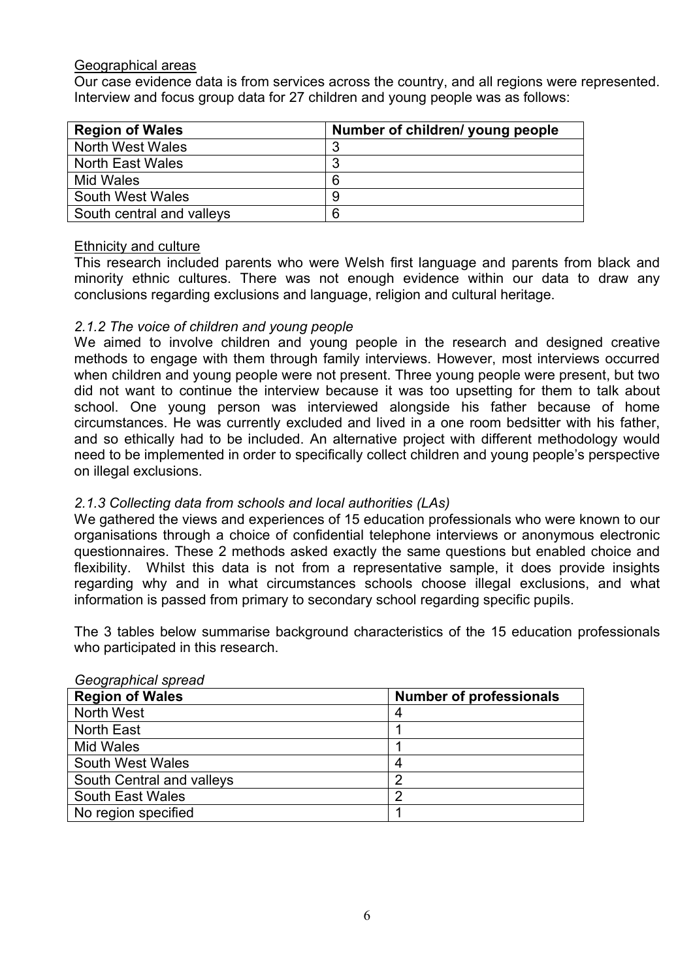#### Geographical areas

Our case evidence data is from services across the country, and all regions were represented. Interview and focus group data for 27 children and young people was as follows:

| <b>Region of Wales</b>    | Number of children/ young people |
|---------------------------|----------------------------------|
| <b>North West Wales</b>   | ີ                                |
| <b>North East Wales</b>   | ົ                                |
| Mid Wales                 | 6                                |
| <b>South West Wales</b>   | -9                               |
| South central and valleys | 6                                |

## **Ethnicity and culture**

This research included parents who were Welsh first language and parents from black and minority ethnic cultures. There was not enough evidence within our data to draw any conclusions regarding exclusions and language, religion and cultural heritage.

## *2.1.2 The voice of children and young people*

We aimed to involve children and young people in the research and designed creative methods to engage with them through family interviews. However, most interviews occurred when children and young people were not present. Three young people were present, but two did not want to continue the interview because it was too upsetting for them to talk about school. One young person was interviewed alongside his father because of home circumstances. He was currently excluded and lived in a one room bedsitter with his father, and so ethically had to be included. An alternative project with different methodology would need to be implemented in order to specifically collect children and young people's perspective on illegal exclusions.

## *2.1.3 Collecting data from schools and local authorities (LAs)*

We gathered the views and experiences of 15 education professionals who were known to our organisations through a choice of confidential telephone interviews or anonymous electronic questionnaires. These 2 methods asked exactly the same questions but enabled choice and flexibility. Whilst this data is not from a representative sample, it does provide insights regarding why and in what circumstances schools choose illegal exclusions, and what information is passed from primary to secondary school regarding specific pupils.

The 3 tables below summarise background characteristics of the 15 education professionals who participated in this research.

| $\frac{1}{2}$             |                                |  |
|---------------------------|--------------------------------|--|
| <b>Region of Wales</b>    | <b>Number of professionals</b> |  |
| <b>North West</b>         |                                |  |
| North East                |                                |  |
| <b>Mid Wales</b>          |                                |  |
| South West Wales          |                                |  |
| South Central and valleys |                                |  |
| <b>South East Wales</b>   |                                |  |
| No region specified       |                                |  |

#### *Geographical spread*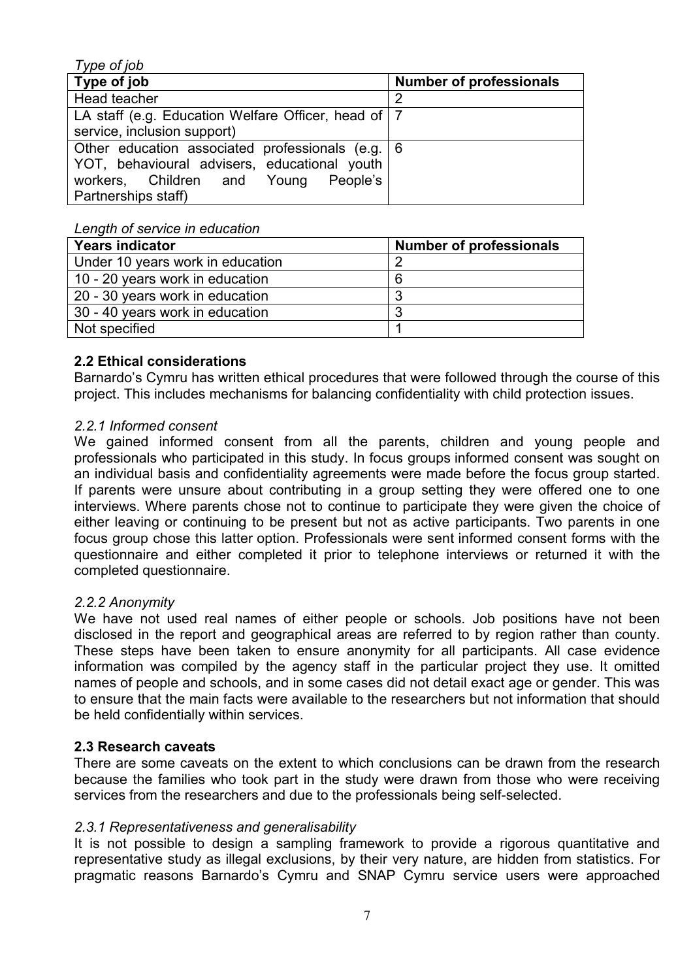| Type of job                                           |                                |
|-------------------------------------------------------|--------------------------------|
| Type of job                                           | <b>Number of professionals</b> |
| Head teacher                                          | 2                              |
| LA staff (e.g. Education Welfare Officer, head of   7 |                                |
| service, inclusion support)                           |                                |
| Other education associated professionals (e.g.   6    |                                |
| YOT, behavioural advisers, educational youth          |                                |
| People's<br>workers, Children and Young               |                                |
| Partnerships staff)                                   |                                |

#### *Length of service in education*

| <b>Years indicator</b>           | <b>Number of professionals</b> |
|----------------------------------|--------------------------------|
| Under 10 years work in education |                                |
| 10 - 20 years work in education  | 6                              |
| 20 - 30 years work in education  |                                |
| 30 - 40 years work in education  |                                |
| Not specified                    |                                |

## **2.2 Ethical considerations**

Barnardo's Cymru has written ethical procedures that were followed through the course of this project. This includes mechanisms for balancing confidentiality with child protection issues.

## *2.2.1 Informed consent*

We gained informed consent from all the parents, children and young people and professionals who participated in this study. In focus groups informed consent was sought on an individual basis and confidentiality agreements were made before the focus group started. If parents were unsure about contributing in a group setting they were offered one to one interviews. Where parents chose not to continue to participate they were given the choice of either leaving or continuing to be present but not as active participants. Two parents in one focus group chose this latter option. Professionals were sent informed consent forms with the questionnaire and either completed it prior to telephone interviews or returned it with the completed questionnaire.

## *2.2.2 Anonymity*

We have not used real names of either people or schools. Job positions have not been disclosed in the report and geographical areas are referred to by region rather than county. These steps have been taken to ensure anonymity for all participants. All case evidence information was compiled by the agency staff in the particular project they use. It omitted names of people and schools, and in some cases did not detail exact age or gender. This was to ensure that the main facts were available to the researchers but not information that should be held confidentially within services.

## **2.3 Research caveats**

There are some caveats on the extent to which conclusions can be drawn from the research because the families who took part in the study were drawn from those who were receiving services from the researchers and due to the professionals being self-selected.

## *2.3.1 Representativeness and generalisability*

It is not possible to design a sampling framework to provide a rigorous quantitative and representative study as illegal exclusions, by their very nature, are hidden from statistics. For pragmatic reasons Barnardo's Cymru and SNAP Cymru service users were approached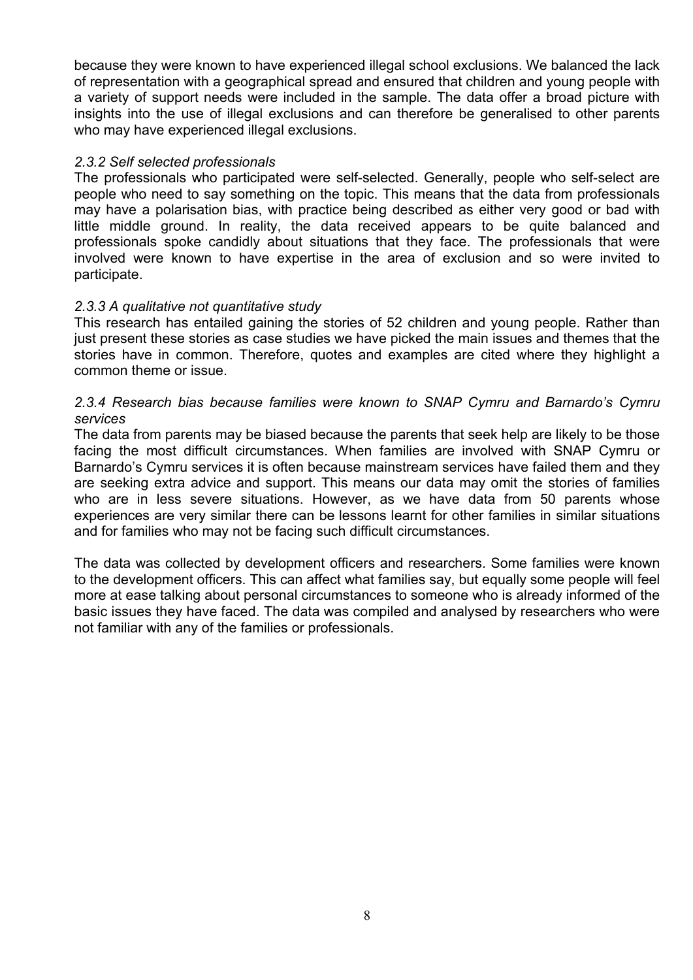because they were known to have experienced illegal school exclusions. We balanced the lack of representation with a geographical spread and ensured that children and young people with a variety of support needs were included in the sample. The data offer a broad picture with insights into the use of illegal exclusions and can therefore be generalised to other parents who may have experienced illegal exclusions.

#### *2.3.2 Self selected professionals*

The professionals who participated were self-selected. Generally, people who self-select are people who need to say something on the topic. This means that the data from professionals may have a polarisation bias, with practice being described as either very good or bad with little middle ground. In reality, the data received appears to be quite balanced and professionals spoke candidly about situations that they face. The professionals that were involved were known to have expertise in the area of exclusion and so were invited to participate.

## *2.3.3 A qualitative not quantitative study*

This research has entailed gaining the stories of 52 children and young people. Rather than just present these stories as case studies we have picked the main issues and themes that the stories have in common. Therefore, quotes and examples are cited where they highlight a common theme or issue.

## *2.3.4 Research bias because families were known to SNAP Cymru and Barnardo's Cymru services*

The data from parents may be biased because the parents that seek help are likely to be those facing the most difficult circumstances. When families are involved with SNAP Cymru or Barnardo's Cymru services it is often because mainstream services have failed them and they are seeking extra advice and support. This means our data may omit the stories of families who are in less severe situations. However, as we have data from 50 parents whose experiences are very similar there can be lessons learnt for other families in similar situations and for families who may not be facing such difficult circumstances.

The data was collected by development officers and researchers. Some families were known to the development officers. This can affect what families say, but equally some people will feel more at ease talking about personal circumstances to someone who is already informed of the basic issues they have faced. The data was compiled and analysed by researchers who were not familiar with any of the families or professionals.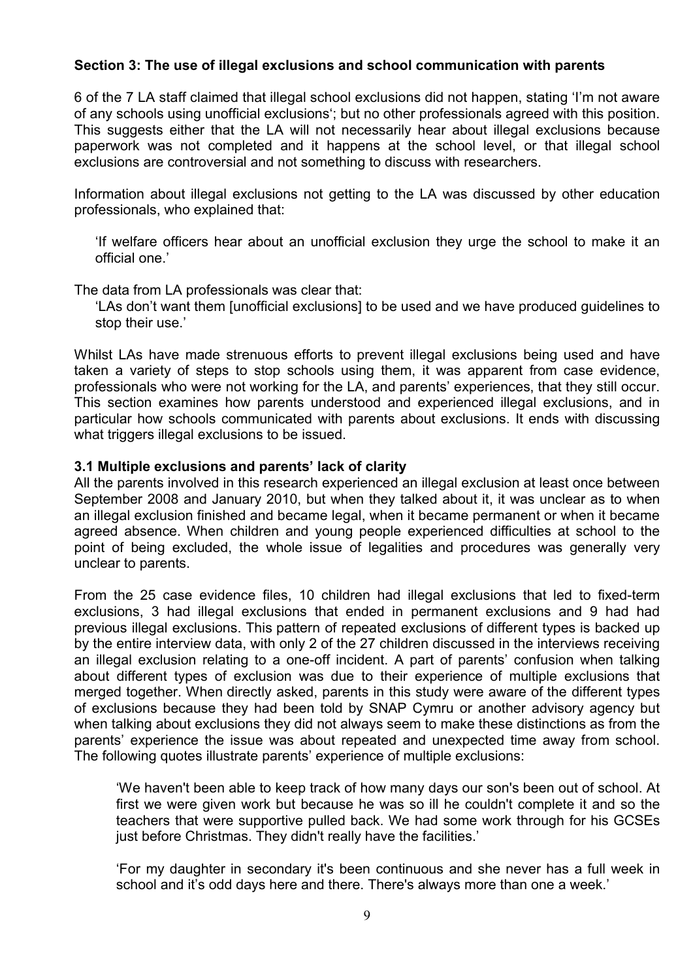## **Section 3: The use of illegal exclusions and school communication with parents**

6 of the 7 LA staff claimed that illegal school exclusions did not happen, stating 'I'm not aware of any schools using unofficial exclusions'; but no other professionals agreed with this position. This suggests either that the LA will not necessarily hear about illegal exclusions because paperwork was not completed and it happens at the school level, or that illegal school exclusions are controversial and not something to discuss with researchers.

Information about illegal exclusions not getting to the LA was discussed by other education professionals, who explained that:

'If welfare officers hear about an unofficial exclusion they urge the school to make it an official one.'

The data from LA professionals was clear that:

'LAs don't want them [unofficial exclusions] to be used and we have produced guidelines to stop their use.'

Whilst LAs have made strenuous efforts to prevent illegal exclusions being used and have taken a variety of steps to stop schools using them, it was apparent from case evidence, professionals who were not working for the LA, and parents' experiences, that they still occur. This section examines how parents understood and experienced illegal exclusions, and in particular how schools communicated with parents about exclusions. It ends with discussing what triggers illegal exclusions to be issued.

## **3.1 Multiple exclusions and parents' lack of clarity**

All the parents involved in this research experienced an illegal exclusion at least once between September 2008 and January 2010, but when they talked about it, it was unclear as to when an illegal exclusion finished and became legal, when it became permanent or when it became agreed absence. When children and young people experienced difficulties at school to the point of being excluded, the whole issue of legalities and procedures was generally very unclear to parents.

From the 25 case evidence files, 10 children had illegal exclusions that led to fixed-term exclusions, 3 had illegal exclusions that ended in permanent exclusions and 9 had had previous illegal exclusions. This pattern of repeated exclusions of different types is backed up by the entire interview data, with only 2 of the 27 children discussed in the interviews receiving an illegal exclusion relating to a one-off incident. A part of parents' confusion when talking about different types of exclusion was due to their experience of multiple exclusions that merged together. When directly asked, parents in this study were aware of the different types of exclusions because they had been told by SNAP Cymru or another advisory agency but when talking about exclusions they did not always seem to make these distinctions as from the parents' experience the issue was about repeated and unexpected time away from school. The following quotes illustrate parents' experience of multiple exclusions:

'We haven't been able to keep track of how many days our son's been out of school. At first we were given work but because he was so ill he couldn't complete it and so the teachers that were supportive pulled back. We had some work through for his GCSEs just before Christmas. They didn't really have the facilities.'

'For my daughter in secondary it's been continuous and she never has a full week in school and it's odd days here and there. There's always more than one a week.'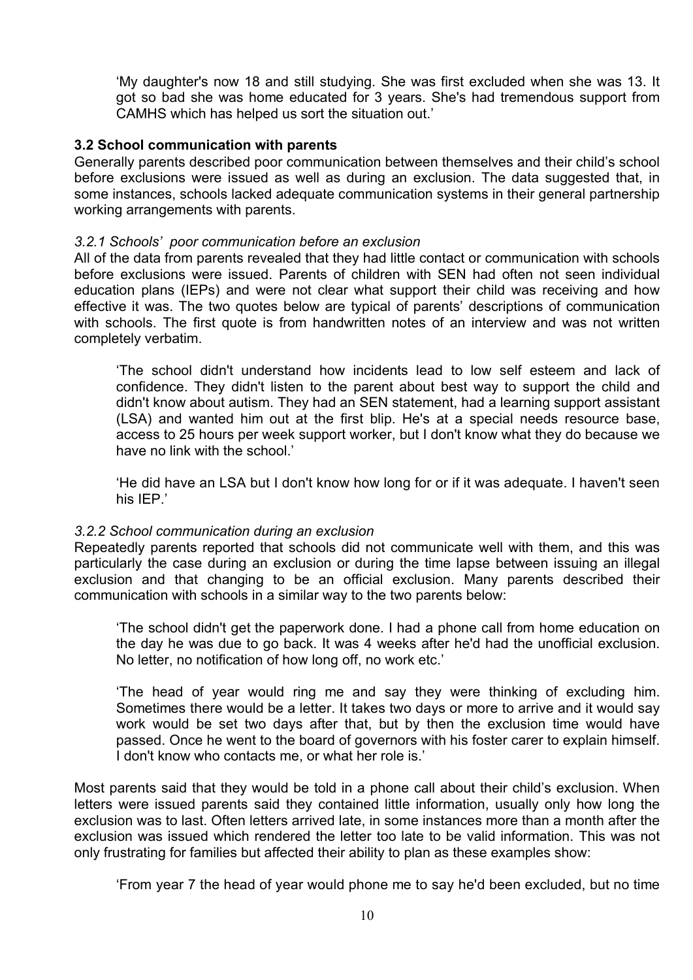'My daughter's now 18 and still studying. She was first excluded when she was 13. It got so bad she was home educated for 3 years. She's had tremendous support from CAMHS which has helped us sort the situation out.'

#### **3.2 School communication with parents**

Generally parents described poor communication between themselves and their child's school before exclusions were issued as well as during an exclusion. The data suggested that, in some instances, schools lacked adequate communication systems in their general partnership working arrangements with parents.

#### *3.2.1 Schools' poor communication before an exclusion*

All of the data from parents revealed that they had little contact or communication with schools before exclusions were issued. Parents of children with SEN had often not seen individual education plans (IEPs) and were not clear what support their child was receiving and how effective it was. The two quotes below are typical of parents' descriptions of communication with schools. The first quote is from handwritten notes of an interview and was not written completely verbatim.

'The school didn't understand how incidents lead to low self esteem and lack of confidence. They didn't listen to the parent about best way to support the child and didn't know about autism. They had an SEN statement, had a learning support assistant (LSA) and wanted him out at the first blip. He's at a special needs resource base, access to 25 hours per week support worker, but I don't know what they do because we have no link with the school.'

'He did have an LSA but I don't know how long for or if it was adequate. I haven't seen his IEP.'

#### *3.2.2 School communication during an exclusion*

Repeatedly parents reported that schools did not communicate well with them, and this was particularly the case during an exclusion or during the time lapse between issuing an illegal exclusion and that changing to be an official exclusion. Many parents described their communication with schools in a similar way to the two parents below:

'The school didn't get the paperwork done. I had a phone call from home education on the day he was due to go back. It was 4 weeks after he'd had the unofficial exclusion. No letter, no notification of how long off, no work etc.'

'The head of year would ring me and say they were thinking of excluding him. Sometimes there would be a letter. It takes two days or more to arrive and it would say work would be set two days after that, but by then the exclusion time would have passed. Once he went to the board of governors with his foster carer to explain himself. I don't know who contacts me, or what her role is.'

Most parents said that they would be told in a phone call about their child's exclusion. When letters were issued parents said they contained little information, usually only how long the exclusion was to last. Often letters arrived late, in some instances more than a month after the exclusion was issued which rendered the letter too late to be valid information. This was not only frustrating for families but affected their ability to plan as these examples show:

'From year 7 the head of year would phone me to say he'd been excluded, but no time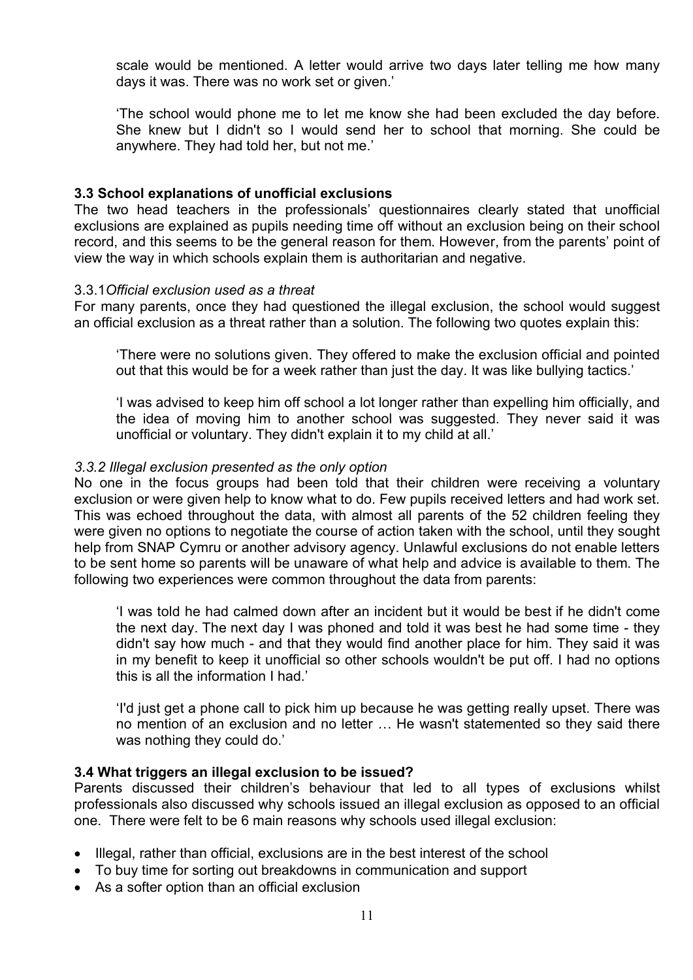scale would be mentioned. A letter would arrive two days later telling me how many days it was. There was no work set or given.'

'The school would phone me to let me know she had been excluded the day before. She knew but I didn't so I would send her to school that morning. She could be anywhere. They had told her, but not me.'

## **3.3 School explanations of unofficial exclusions**

The two head teachers in the professionals' questionnaires clearly stated that unofficial exclusions are explained as pupils needing time off without an exclusion being on their school record, and this seems to be the general reason for them. However, from the parents' point of view the way in which schools explain them is authoritarian and negative.

#### 3.3.1*Official exclusion used as a threat*

For many parents, once they had questioned the illegal exclusion, the school would suggest an official exclusion as a threat rather than a solution. The following two quotes explain this:

'There were no solutions given. They offered to make the exclusion official and pointed out that this would be for a week rather than just the day. It was like bullying tactics.'

'I was advised to keep him off school a lot longer rather than expelling him officially, and the idea of moving him to another school was suggested. They never said it was unofficial or voluntary. They didn't explain it to my child at all.'

#### *3.3.2 Illegal exclusion presented as the only option*

No one in the focus groups had been told that their children were receiving a voluntary exclusion or were given help to know what to do. Few pupils received letters and had work set. This was echoed throughout the data, with almost all parents of the 52 children feeling they were given no options to negotiate the course of action taken with the school, until they sought help from SNAP Cymru or another advisory agency. Unlawful exclusions do not enable letters to be sent home so parents will be unaware of what help and advice is available to them. The following two experiences were common throughout the data from parents:

'I was told he had calmed down after an incident but it would be best if he didn't come the next day. The next day I was phoned and told it was best he had some time - they didn't say how much - and that they would find another place for him. They said it was in my benefit to keep it unofficial so other schools wouldn't be put off. I had no options this is all the information I had.'

'I'd just get a phone call to pick him up because he was getting really upset. There was no mention of an exclusion and no letter … He wasn't statemented so they said there was nothing they could do.'

#### **3.4 What triggers an illegal exclusion to be issued?**

Parents discussed their children's behaviour that led to all types of exclusions whilst professionals also discussed why schools issued an illegal exclusion as opposed to an official one. There were felt to be 6 main reasons why schools used illegal exclusion:

- Illegal, rather than official, exclusions are in the best interest of the school
- To buy time for sorting out breakdowns in communication and support
- As a softer option than an official exclusion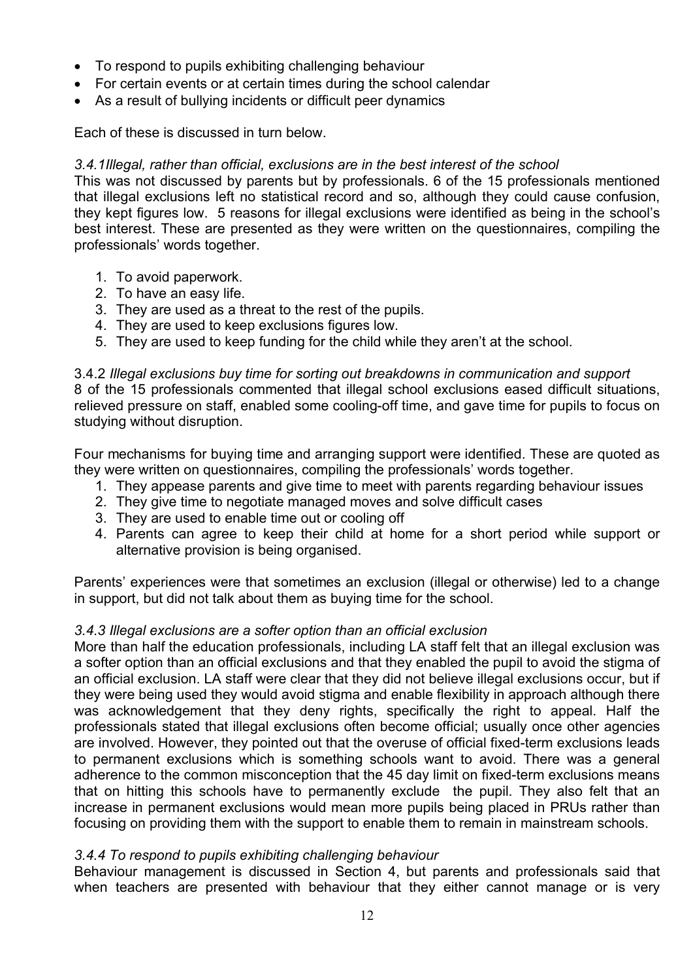- To respond to pupils exhibiting challenging behaviour
- For certain events or at certain times during the school calendar
- As a result of bullying incidents or difficult peer dynamics

Each of these is discussed in turn below.

## *3.4.1Illegal, rather than official, exclusions are in the best interest of the school*

This was not discussed by parents but by professionals. 6 of the 15 professionals mentioned that illegal exclusions left no statistical record and so, although they could cause confusion, they kept figures low. 5 reasons for illegal exclusions were identified as being in the school's best interest. These are presented as they were written on the questionnaires, compiling the professionals' words together.

- 1. To avoid paperwork.
- 2. To have an easy life.
- 3. They are used as a threat to the rest of the pupils.
- 4. They are used to keep exclusions figures low.
- 5. They are used to keep funding for the child while they aren't at the school.

#### 3.4.2 *Illegal exclusions buy time for sorting out breakdowns in communication and support*  8 of the 15 professionals commented that illegal school exclusions eased difficult situations, relieved pressure on staff, enabled some cooling-off time, and gave time for pupils to focus on studying without disruption.

Four mechanisms for buying time and arranging support were identified. These are quoted as they were written on questionnaires, compiling the professionals' words together.

- 1. They appease parents and give time to meet with parents regarding behaviour issues
- 2. They give time to negotiate managed moves and solve difficult cases
- 3. They are used to enable time out or cooling off
- 4. Parents can agree to keep their child at home for a short period while support or alternative provision is being organised.

Parents' experiences were that sometimes an exclusion (illegal or otherwise) led to a change in support, but did not talk about them as buying time for the school.

## *3.4.3 Illegal exclusions are a softer option than an official exclusion*

More than half the education professionals, including LA staff felt that an illegal exclusion was a softer option than an official exclusions and that they enabled the pupil to avoid the stigma of an official exclusion. LA staff were clear that they did not believe illegal exclusions occur, but if they were being used they would avoid stigma and enable flexibility in approach although there was acknowledgement that they deny rights, specifically the right to appeal. Half the professionals stated that illegal exclusions often become official; usually once other agencies are involved. However, they pointed out that the overuse of official fixed-term exclusions leads to permanent exclusions which is something schools want to avoid. There was a general adherence to the common misconception that the 45 day limit on fixed-term exclusions means that on hitting this schools have to permanently exclude the pupil. They also felt that an increase in permanent exclusions would mean more pupils being placed in PRUs rather than focusing on providing them with the support to enable them to remain in mainstream schools.

## *3.4.4 To respond to pupils exhibiting challenging behaviour*

Behaviour management is discussed in Section 4, but parents and professionals said that when teachers are presented with behaviour that they either cannot manage or is very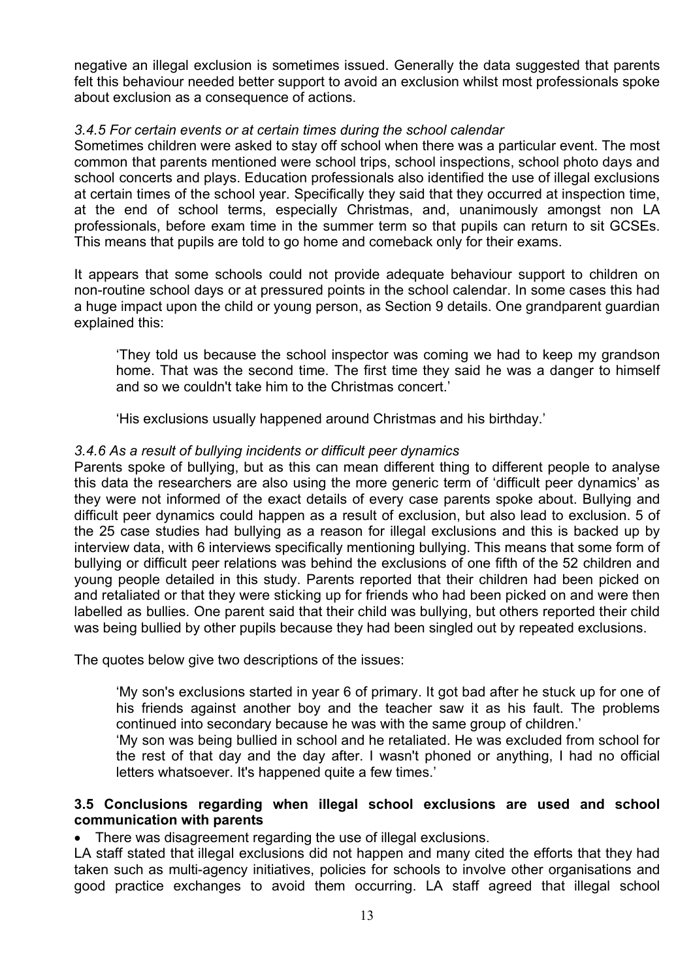negative an illegal exclusion is sometimes issued. Generally the data suggested that parents felt this behaviour needed better support to avoid an exclusion whilst most professionals spoke about exclusion as a consequence of actions.

#### *3.4.5 For certain events or at certain times during the school calendar*

Sometimes children were asked to stay off school when there was a particular event. The most common that parents mentioned were school trips, school inspections, school photo days and school concerts and plays. Education professionals also identified the use of illegal exclusions at certain times of the school year. Specifically they said that they occurred at inspection time, at the end of school terms, especially Christmas, and, unanimously amongst non LA professionals, before exam time in the summer term so that pupils can return to sit GCSEs. This means that pupils are told to go home and comeback only for their exams.

It appears that some schools could not provide adequate behaviour support to children on non-routine school days or at pressured points in the school calendar. In some cases this had a huge impact upon the child or young person, as Section 9 details. One grandparent guardian explained this:

'They told us because the school inspector was coming we had to keep my grandson home. That was the second time. The first time they said he was a danger to himself and so we couldn't take him to the Christmas concert.'

'His exclusions usually happened around Christmas and his birthday.'

## *3.4.6 As a result of bullying incidents or difficult peer dynamics*

Parents spoke of bullying, but as this can mean different thing to different people to analyse this data the researchers are also using the more generic term of 'difficult peer dynamics' as they were not informed of the exact details of every case parents spoke about. Bullying and difficult peer dynamics could happen as a result of exclusion, but also lead to exclusion. 5 of the 25 case studies had bullying as a reason for illegal exclusions and this is backed up by interview data, with 6 interviews specifically mentioning bullying. This means that some form of bullying or difficult peer relations was behind the exclusions of one fifth of the 52 children and young people detailed in this study. Parents reported that their children had been picked on and retaliated or that they were sticking up for friends who had been picked on and were then labelled as bullies. One parent said that their child was bullying, but others reported their child was being bullied by other pupils because they had been singled out by repeated exclusions.

The quotes below give two descriptions of the issues:

'My son's exclusions started in year 6 of primary. It got bad after he stuck up for one of his friends against another boy and the teacher saw it as his fault. The problems continued into secondary because he was with the same group of children.'

'My son was being bullied in school and he retaliated. He was excluded from school for the rest of that day and the day after. I wasn't phoned or anything, I had no official letters whatsoever. It's happened quite a few times.'

## **3.5 Conclusions regarding when illegal school exclusions are used and school communication with parents**

There was disagreement regarding the use of illegal exclusions.

LA staff stated that illegal exclusions did not happen and many cited the efforts that they had taken such as multi-agency initiatives, policies for schools to involve other organisations and good practice exchanges to avoid them occurring. LA staff agreed that illegal school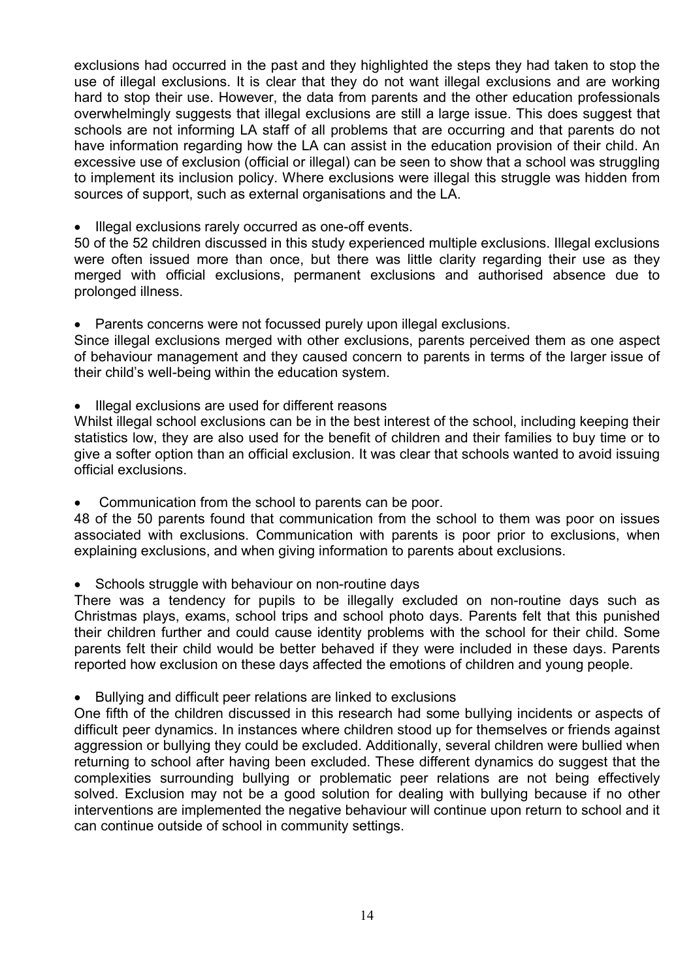exclusions had occurred in the past and they highlighted the steps they had taken to stop the use of illegal exclusions. It is clear that they do not want illegal exclusions and are working hard to stop their use. However, the data from parents and the other education professionals overwhelmingly suggests that illegal exclusions are still a large issue. This does suggest that schools are not informing LA staff of all problems that are occurring and that parents do not have information regarding how the LA can assist in the education provision of their child. An excessive use of exclusion (official or illegal) can be seen to show that a school was struggling to implement its inclusion policy. Where exclusions were illegal this struggle was hidden from sources of support, such as external organisations and the LA.

Illegal exclusions rarely occurred as one-off events.

50 of the 52 children discussed in this study experienced multiple exclusions. Illegal exclusions were often issued more than once, but there was little clarity regarding their use as they merged with official exclusions, permanent exclusions and authorised absence due to prolonged illness.

• Parents concerns were not focussed purely upon illegal exclusions.

Since illegal exclusions merged with other exclusions, parents perceived them as one aspect of behaviour management and they caused concern to parents in terms of the larger issue of their child's well-being within the education system.

Illegal exclusions are used for different reasons

Whilst illegal school exclusions can be in the best interest of the school, including keeping their statistics low, they are also used for the benefit of children and their families to buy time or to give a softer option than an official exclusion. It was clear that schools wanted to avoid issuing official exclusions.

Communication from the school to parents can be poor.

48 of the 50 parents found that communication from the school to them was poor on issues associated with exclusions. Communication with parents is poor prior to exclusions, when explaining exclusions, and when giving information to parents about exclusions.

• Schools struggle with behaviour on non-routine days

There was a tendency for pupils to be illegally excluded on non-routine days such as Christmas plays, exams, school trips and school photo days. Parents felt that this punished their children further and could cause identity problems with the school for their child. Some parents felt their child would be better behaved if they were included in these days. Parents reported how exclusion on these days affected the emotions of children and young people.

Bullying and difficult peer relations are linked to exclusions

One fifth of the children discussed in this research had some bullying incidents or aspects of difficult peer dynamics. In instances where children stood up for themselves or friends against aggression or bullying they could be excluded. Additionally, several children were bullied when returning to school after having been excluded. These different dynamics do suggest that the complexities surrounding bullying or problematic peer relations are not being effectively solved. Exclusion may not be a good solution for dealing with bullying because if no other interventions are implemented the negative behaviour will continue upon return to school and it can continue outside of school in community settings.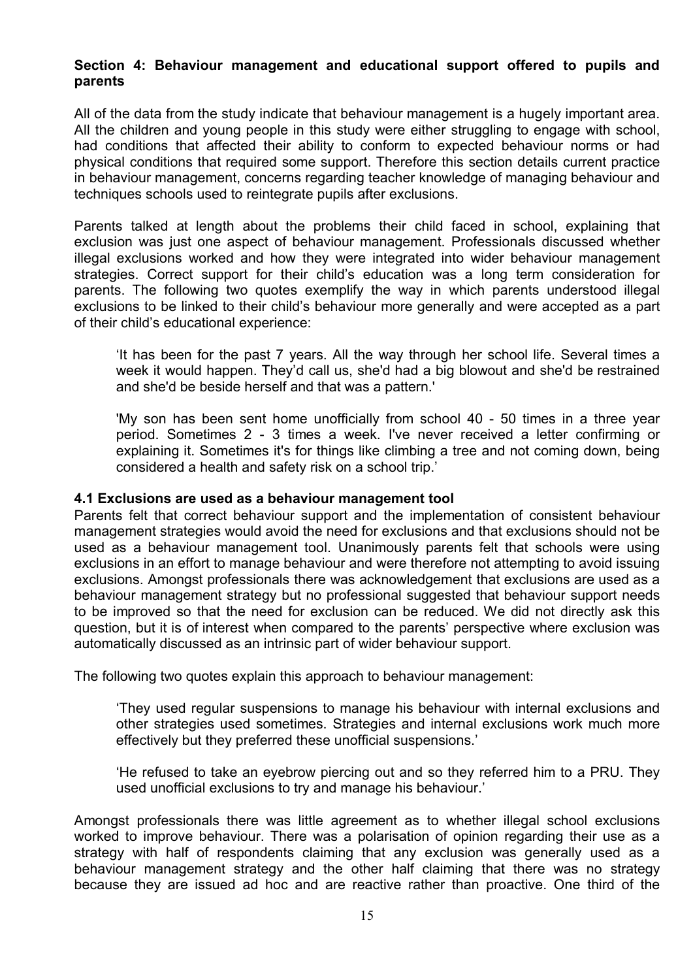## **Section 4: Behaviour management and educational support offered to pupils and parents**

All of the data from the study indicate that behaviour management is a hugely important area. All the children and young people in this study were either struggling to engage with school, had conditions that affected their ability to conform to expected behaviour norms or had physical conditions that required some support. Therefore this section details current practice in behaviour management, concerns regarding teacher knowledge of managing behaviour and techniques schools used to reintegrate pupils after exclusions.

Parents talked at length about the problems their child faced in school, explaining that exclusion was just one aspect of behaviour management. Professionals discussed whether illegal exclusions worked and how they were integrated into wider behaviour management strategies. Correct support for their child's education was a long term consideration for parents. The following two quotes exemplify the way in which parents understood illegal exclusions to be linked to their child's behaviour more generally and were accepted as a part of their child's educational experience:

'It has been for the past 7 years. All the way through her school life. Several times a week it would happen. They'd call us, she'd had a big blowout and she'd be restrained and she'd be beside herself and that was a pattern.'

'My son has been sent home unofficially from school 40 - 50 times in a three year period. Sometimes 2 - 3 times a week. I've never received a letter confirming or explaining it. Sometimes it's for things like climbing a tree and not coming down, being considered a health and safety risk on a school trip.'

#### **4.1 Exclusions are used as a behaviour management tool**

Parents felt that correct behaviour support and the implementation of consistent behaviour management strategies would avoid the need for exclusions and that exclusions should not be used as a behaviour management tool. Unanimously parents felt that schools were using exclusions in an effort to manage behaviour and were therefore not attempting to avoid issuing exclusions. Amongst professionals there was acknowledgement that exclusions are used as a behaviour management strategy but no professional suggested that behaviour support needs to be improved so that the need for exclusion can be reduced. We did not directly ask this question, but it is of interest when compared to the parents' perspective where exclusion was automatically discussed as an intrinsic part of wider behaviour support.

The following two quotes explain this approach to behaviour management:

'They used regular suspensions to manage his behaviour with internal exclusions and other strategies used sometimes. Strategies and internal exclusions work much more effectively but they preferred these unofficial suspensions.'

'He refused to take an eyebrow piercing out and so they referred him to a PRU. They used unofficial exclusions to try and manage his behaviour.'

Amongst professionals there was little agreement as to whether illegal school exclusions worked to improve behaviour. There was a polarisation of opinion regarding their use as a strategy with half of respondents claiming that any exclusion was generally used as a behaviour management strategy and the other half claiming that there was no strategy because they are issued ad hoc and are reactive rather than proactive. One third of the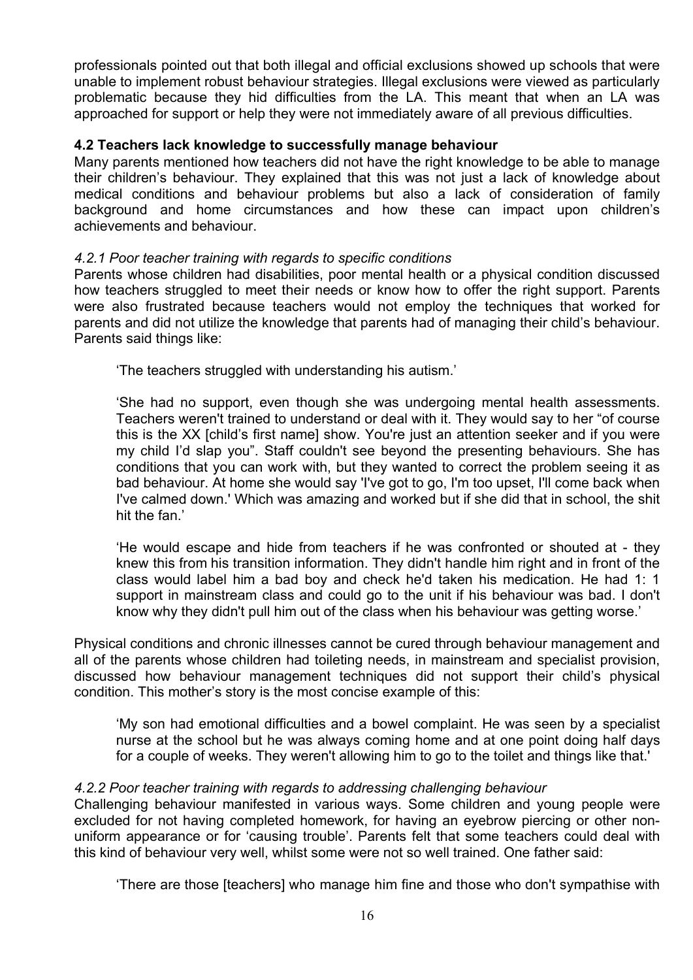professionals pointed out that both illegal and official exclusions showed up schools that were unable to implement robust behaviour strategies. Illegal exclusions were viewed as particularly problematic because they hid difficulties from the LA. This meant that when an LA was approached for support or help they were not immediately aware of all previous difficulties.

## **4.2 Teachers lack knowledge to successfully manage behaviour**

Many parents mentioned how teachers did not have the right knowledge to be able to manage their children's behaviour. They explained that this was not just a lack of knowledge about medical conditions and behaviour problems but also a lack of consideration of family background and home circumstances and how these can impact upon children's achievements and behaviour.

## *4.2.1 Poor teacher training with regards to specific conditions*

Parents whose children had disabilities, poor mental health or a physical condition discussed how teachers struggled to meet their needs or know how to offer the right support. Parents were also frustrated because teachers would not employ the techniques that worked for parents and did not utilize the knowledge that parents had of managing their child's behaviour. Parents said things like:

'The teachers struggled with understanding his autism.'

'She had no support, even though she was undergoing mental health assessments. Teachers weren't trained to understand or deal with it. They would say to her "of course this is the XX [child's first name] show. You're just an attention seeker and if you were my child I'd slap you". Staff couldn't see beyond the presenting behaviours. She has conditions that you can work with, but they wanted to correct the problem seeing it as bad behaviour. At home she would say 'I've got to go, I'm too upset, I'll come back when I've calmed down.' Which was amazing and worked but if she did that in school, the shit hit the fan.'

'He would escape and hide from teachers if he was confronted or shouted at - they knew this from his transition information. They didn't handle him right and in front of the class would label him a bad boy and check he'd taken his medication. He had 1: 1 support in mainstream class and could go to the unit if his behaviour was bad. I don't know why they didn't pull him out of the class when his behaviour was getting worse.'

Physical conditions and chronic illnesses cannot be cured through behaviour management and all of the parents whose children had toileting needs, in mainstream and specialist provision, discussed how behaviour management techniques did not support their child's physical condition. This mother's story is the most concise example of this:

'My son had emotional difficulties and a bowel complaint. He was seen by a specialist nurse at the school but he was always coming home and at one point doing half days for a couple of weeks. They weren't allowing him to go to the toilet and things like that.'

## *4.2.2 Poor teacher training with regards to addressing challenging behaviour*

Challenging behaviour manifested in various ways. Some children and young people were excluded for not having completed homework, for having an eyebrow piercing or other nonuniform appearance or for 'causing trouble'. Parents felt that some teachers could deal with this kind of behaviour very well, whilst some were not so well trained. One father said:

'There are those [teachers] who manage him fine and those who don't sympathise with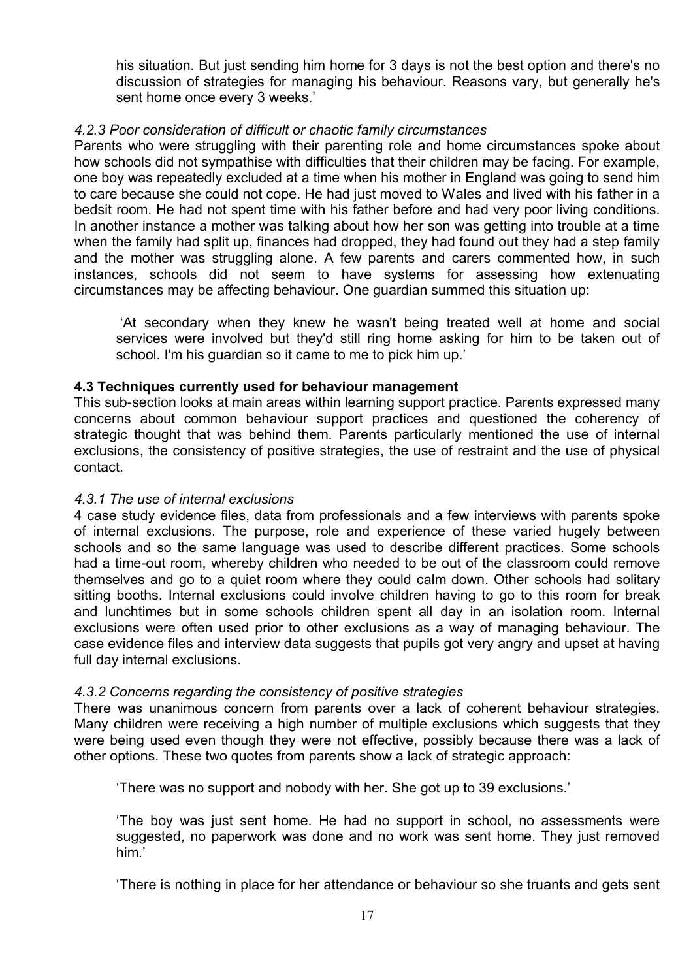his situation. But just sending him home for 3 days is not the best option and there's no discussion of strategies for managing his behaviour. Reasons vary, but generally he's sent home once every 3 weeks.'

## *4.2.3 Poor consideration of difficult or chaotic family circumstances*

Parents who were struggling with their parenting role and home circumstances spoke about how schools did not sympathise with difficulties that their children may be facing. For example, one boy was repeatedly excluded at a time when his mother in England was going to send him to care because she could not cope. He had just moved to Wales and lived with his father in a bedsit room. He had not spent time with his father before and had very poor living conditions. In another instance a mother was talking about how her son was getting into trouble at a time when the family had split up, finances had dropped, they had found out they had a step family and the mother was struggling alone. A few parents and carers commented how, in such instances, schools did not seem to have systems for assessing how extenuating circumstances may be affecting behaviour. One guardian summed this situation up:

 'At secondary when they knew he wasn't being treated well at home and social services were involved but they'd still ring home asking for him to be taken out of school. I'm his guardian so it came to me to pick him up.'

## **4.3 Techniques currently used for behaviour management**

This sub-section looks at main areas within learning support practice. Parents expressed many concerns about common behaviour support practices and questioned the coherency of strategic thought that was behind them. Parents particularly mentioned the use of internal exclusions, the consistency of positive strategies, the use of restraint and the use of physical contact.

## *4.3.1 The use of internal exclusions*

4 case study evidence files, data from professionals and a few interviews with parents spoke of internal exclusions. The purpose, role and experience of these varied hugely between schools and so the same language was used to describe different practices. Some schools had a time-out room, whereby children who needed to be out of the classroom could remove themselves and go to a quiet room where they could calm down. Other schools had solitary sitting booths. Internal exclusions could involve children having to go to this room for break and lunchtimes but in some schools children spent all day in an isolation room. Internal exclusions were often used prior to other exclusions as a way of managing behaviour. The case evidence files and interview data suggests that pupils got very angry and upset at having full day internal exclusions.

# *4.3.2 Concerns regarding the consistency of positive strategies*

There was unanimous concern from parents over a lack of coherent behaviour strategies. Many children were receiving a high number of multiple exclusions which suggests that they were being used even though they were not effective, possibly because there was a lack of other options. These two quotes from parents show a lack of strategic approach:

'There was no support and nobody with her. She got up to 39 exclusions.'

'The boy was just sent home. He had no support in school, no assessments were suggested, no paperwork was done and no work was sent home. They just removed him.'

'There is nothing in place for her attendance or behaviour so she truants and gets sent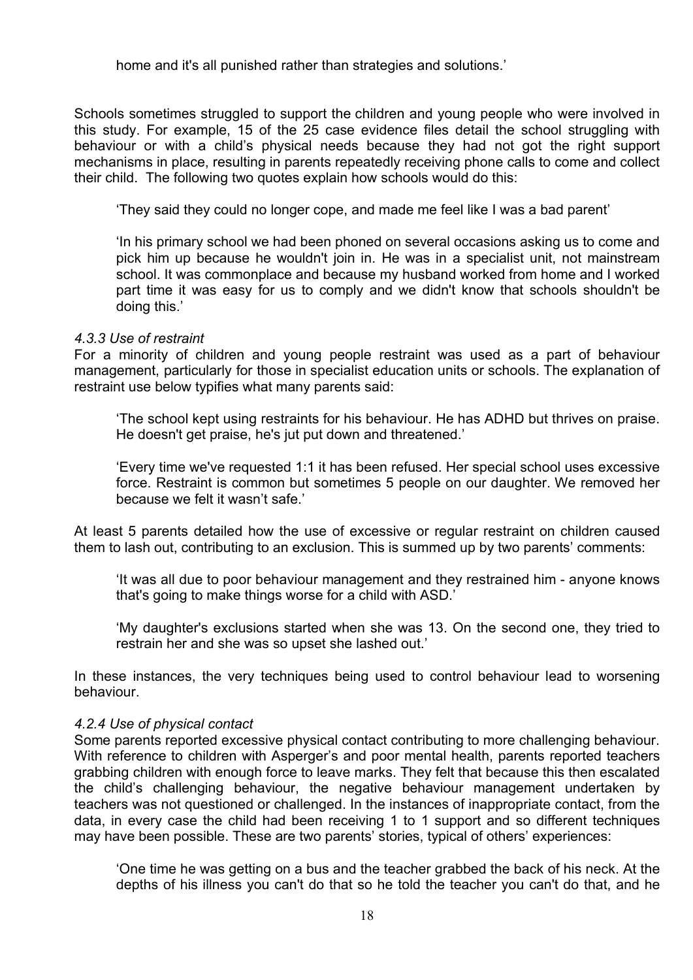home and it's all punished rather than strategies and solutions.'

Schools sometimes struggled to support the children and young people who were involved in this study. For example, 15 of the 25 case evidence files detail the school struggling with behaviour or with a child's physical needs because they had not got the right support mechanisms in place, resulting in parents repeatedly receiving phone calls to come and collect their child. The following two quotes explain how schools would do this:

'They said they could no longer cope, and made me feel like I was a bad parent'

'In his primary school we had been phoned on several occasions asking us to come and pick him up because he wouldn't join in. He was in a specialist unit, not mainstream school. It was commonplace and because my husband worked from home and I worked part time it was easy for us to comply and we didn't know that schools shouldn't be doing this.'

#### *4.3.3 Use of restraint*

For a minority of children and young people restraint was used as a part of behaviour management, particularly for those in specialist education units or schools. The explanation of restraint use below typifies what many parents said:

'The school kept using restraints for his behaviour. He has ADHD but thrives on praise. He doesn't get praise, he's jut put down and threatened.'

'Every time we've requested 1:1 it has been refused. Her special school uses excessive force. Restraint is common but sometimes 5 people on our daughter. We removed her because we felt it wasn't safe.'

At least 5 parents detailed how the use of excessive or regular restraint on children caused them to lash out, contributing to an exclusion. This is summed up by two parents' comments:

'It was all due to poor behaviour management and they restrained him - anyone knows that's going to make things worse for a child with ASD.'

'My daughter's exclusions started when she was 13. On the second one, they tried to restrain her and she was so upset she lashed out.'

In these instances, the very techniques being used to control behaviour lead to worsening behaviour.

#### *4.2.4 Use of physical contact*

Some parents reported excessive physical contact contributing to more challenging behaviour. With reference to children with Asperger's and poor mental health, parents reported teachers grabbing children with enough force to leave marks. They felt that because this then escalated the child's challenging behaviour, the negative behaviour management undertaken by teachers was not questioned or challenged. In the instances of inappropriate contact, from the data, in every case the child had been receiving 1 to 1 support and so different techniques may have been possible. These are two parents' stories, typical of others' experiences:

'One time he was getting on a bus and the teacher grabbed the back of his neck. At the depths of his illness you can't do that so he told the teacher you can't do that, and he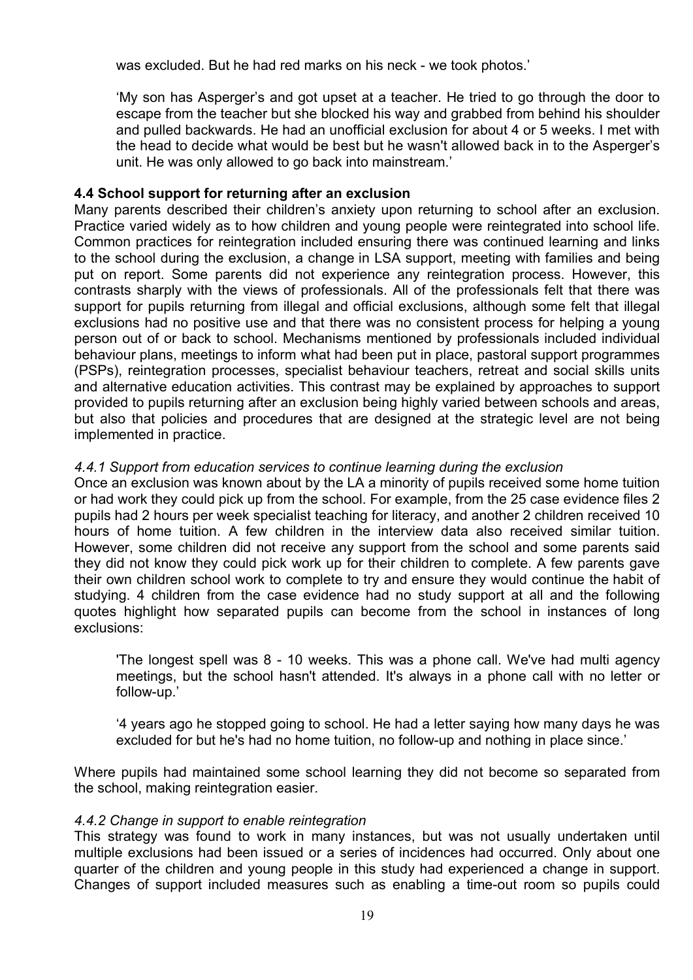was excluded. But he had red marks on his neck - we took photos.'

'My son has Asperger's and got upset at a teacher. He tried to go through the door to escape from the teacher but she blocked his way and grabbed from behind his shoulder and pulled backwards. He had an unofficial exclusion for about 4 or 5 weeks. I met with the head to decide what would be best but he wasn't allowed back in to the Asperger's unit. He was only allowed to go back into mainstream.'

## **4.4 School support for returning after an exclusion**

Many parents described their children's anxiety upon returning to school after an exclusion. Practice varied widely as to how children and young people were reintegrated into school life. Common practices for reintegration included ensuring there was continued learning and links to the school during the exclusion, a change in LSA support, meeting with families and being put on report. Some parents did not experience any reintegration process. However, this contrasts sharply with the views of professionals. All of the professionals felt that there was support for pupils returning from illegal and official exclusions, although some felt that illegal exclusions had no positive use and that there was no consistent process for helping a young person out of or back to school. Mechanisms mentioned by professionals included individual behaviour plans, meetings to inform what had been put in place, pastoral support programmes (PSPs), reintegration processes, specialist behaviour teachers, retreat and social skills units and alternative education activities. This contrast may be explained by approaches to support provided to pupils returning after an exclusion being highly varied between schools and areas, but also that policies and procedures that are designed at the strategic level are not being implemented in practice.

## *4.4.1 Support from education services to continue learning during the exclusion*

Once an exclusion was known about by the LA a minority of pupils received some home tuition or had work they could pick up from the school. For example, from the 25 case evidence files 2 pupils had 2 hours per week specialist teaching for literacy, and another 2 children received 10 hours of home tuition. A few children in the interview data also received similar tuition. However, some children did not receive any support from the school and some parents said they did not know they could pick work up for their children to complete. A few parents gave their own children school work to complete to try and ensure they would continue the habit of studying. 4 children from the case evidence had no study support at all and the following quotes highlight how separated pupils can become from the school in instances of long exclusions:

'The longest spell was 8 - 10 weeks. This was a phone call. We've had multi agency meetings, but the school hasn't attended. It's always in a phone call with no letter or follow-up.'

'4 years ago he stopped going to school. He had a letter saying how many days he was excluded for but he's had no home tuition, no follow-up and nothing in place since.'

Where pupils had maintained some school learning they did not become so separated from the school, making reintegration easier.

## *4.4.2 Change in support to enable reintegration*

This strategy was found to work in many instances, but was not usually undertaken until multiple exclusions had been issued or a series of incidences had occurred. Only about one quarter of the children and young people in this study had experienced a change in support. Changes of support included measures such as enabling a time-out room so pupils could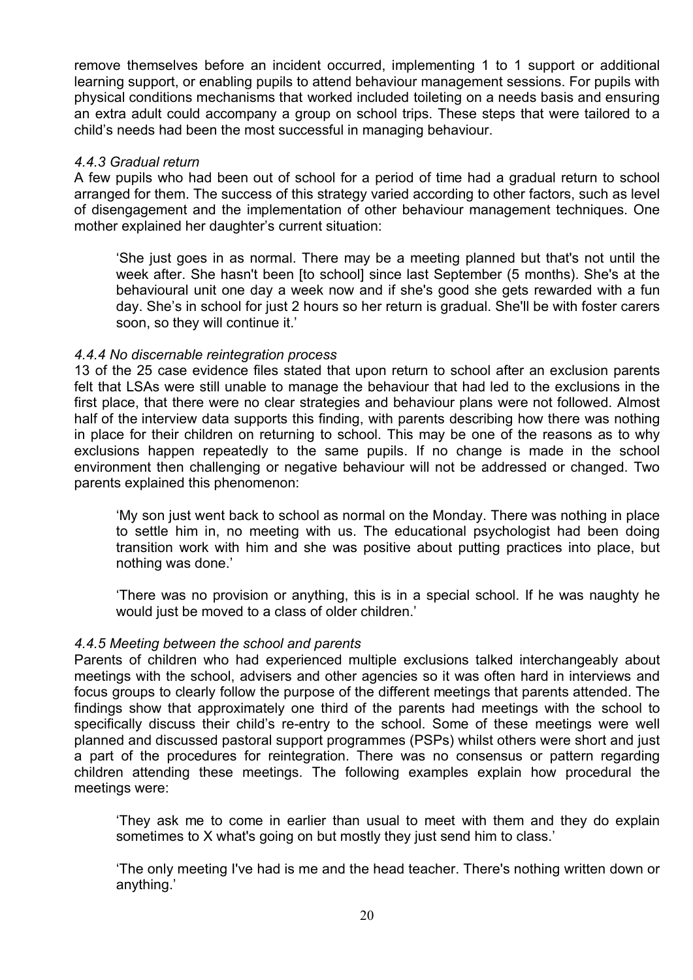remove themselves before an incident occurred, implementing 1 to 1 support or additional learning support, or enabling pupils to attend behaviour management sessions. For pupils with physical conditions mechanisms that worked included toileting on a needs basis and ensuring an extra adult could accompany a group on school trips. These steps that were tailored to a child's needs had been the most successful in managing behaviour.

#### *4.4.3 Gradual return*

A few pupils who had been out of school for a period of time had a gradual return to school arranged for them. The success of this strategy varied according to other factors, such as level of disengagement and the implementation of other behaviour management techniques. One mother explained her daughter's current situation:

'She just goes in as normal. There may be a meeting planned but that's not until the week after. She hasn't been [to school] since last September (5 months). She's at the behavioural unit one day a week now and if she's good she gets rewarded with a fun day. She's in school for just 2 hours so her return is gradual. She'll be with foster carers soon, so they will continue it.'

#### *4.4.4 No discernable reintegration process*

13 of the 25 case evidence files stated that upon return to school after an exclusion parents felt that LSAs were still unable to manage the behaviour that had led to the exclusions in the first place, that there were no clear strategies and behaviour plans were not followed. Almost half of the interview data supports this finding, with parents describing how there was nothing in place for their children on returning to school. This may be one of the reasons as to why exclusions happen repeatedly to the same pupils. If no change is made in the school environment then challenging or negative behaviour will not be addressed or changed. Two parents explained this phenomenon:

'My son just went back to school as normal on the Monday. There was nothing in place to settle him in, no meeting with us. The educational psychologist had been doing transition work with him and she was positive about putting practices into place, but nothing was done.'

'There was no provision or anything, this is in a special school. If he was naughty he would just be moved to a class of older children.'

#### *4.4.5 Meeting between the school and parents*

Parents of children who had experienced multiple exclusions talked interchangeably about meetings with the school, advisers and other agencies so it was often hard in interviews and focus groups to clearly follow the purpose of the different meetings that parents attended. The findings show that approximately one third of the parents had meetings with the school to specifically discuss their child's re-entry to the school. Some of these meetings were well planned and discussed pastoral support programmes (PSPs) whilst others were short and just a part of the procedures for reintegration. There was no consensus or pattern regarding children attending these meetings. The following examples explain how procedural the meetings were:

'They ask me to come in earlier than usual to meet with them and they do explain sometimes to X what's going on but mostly they just send him to class.'

'The only meeting I've had is me and the head teacher. There's nothing written down or anything.'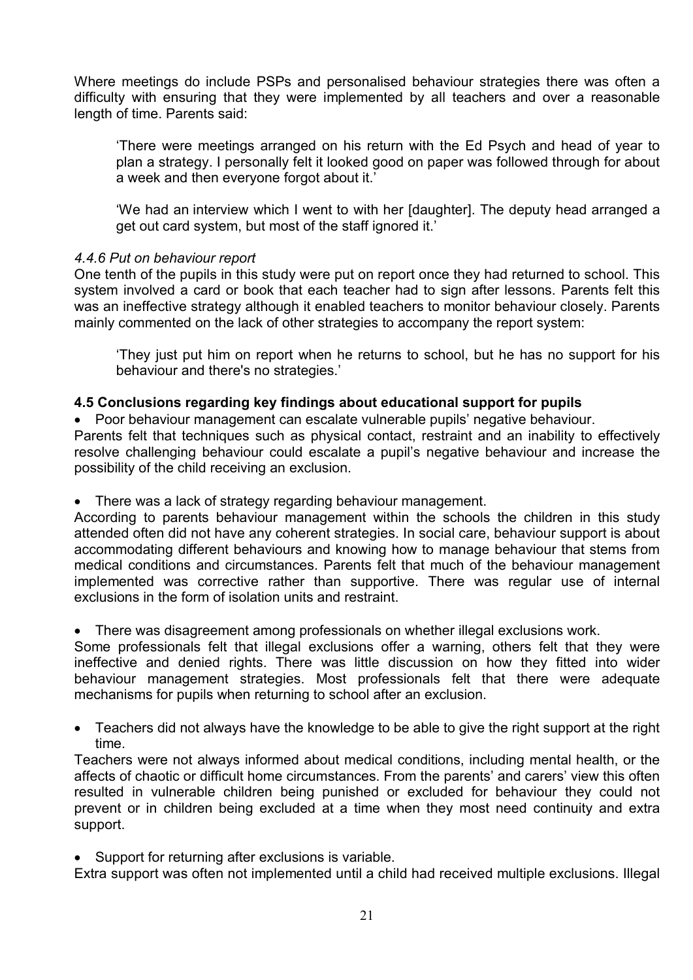Where meetings do include PSPs and personalised behaviour strategies there was often a difficulty with ensuring that they were implemented by all teachers and over a reasonable length of time. Parents said:

'There were meetings arranged on his return with the Ed Psych and head of year to plan a strategy. I personally felt it looked good on paper was followed through for about a week and then everyone forgot about it.'

'We had an interview which I went to with her [daughter]. The deputy head arranged a get out card system, but most of the staff ignored it.'

## *4.4.6 Put on behaviour report*

One tenth of the pupils in this study were put on report once they had returned to school. This system involved a card or book that each teacher had to sign after lessons. Parents felt this was an ineffective strategy although it enabled teachers to monitor behaviour closely. Parents mainly commented on the lack of other strategies to accompany the report system:

'They just put him on report when he returns to school, but he has no support for his behaviour and there's no strategies.'

#### **4.5 Conclusions regarding key findings about educational support for pupils**

Poor behaviour management can escalate vulnerable pupils' negative behaviour.

Parents felt that techniques such as physical contact, restraint and an inability to effectively resolve challenging behaviour could escalate a pupil's negative behaviour and increase the possibility of the child receiving an exclusion.

• There was a lack of strategy regarding behaviour management.

According to parents behaviour management within the schools the children in this study attended often did not have any coherent strategies. In social care, behaviour support is about accommodating different behaviours and knowing how to manage behaviour that stems from medical conditions and circumstances. Parents felt that much of the behaviour management implemented was corrective rather than supportive. There was regular use of internal exclusions in the form of isolation units and restraint.

There was disagreement among professionals on whether illegal exclusions work.

Some professionals felt that illegal exclusions offer a warning, others felt that they were ineffective and denied rights. There was little discussion on how they fitted into wider behaviour management strategies. Most professionals felt that there were adequate mechanisms for pupils when returning to school after an exclusion.

 Teachers did not always have the knowledge to be able to give the right support at the right time.

Teachers were not always informed about medical conditions, including mental health, or the affects of chaotic or difficult home circumstances. From the parents' and carers' view this often resulted in vulnerable children being punished or excluded for behaviour they could not prevent or in children being excluded at a time when they most need continuity and extra support.

• Support for returning after exclusions is variable.

Extra support was often not implemented until a child had received multiple exclusions. Illegal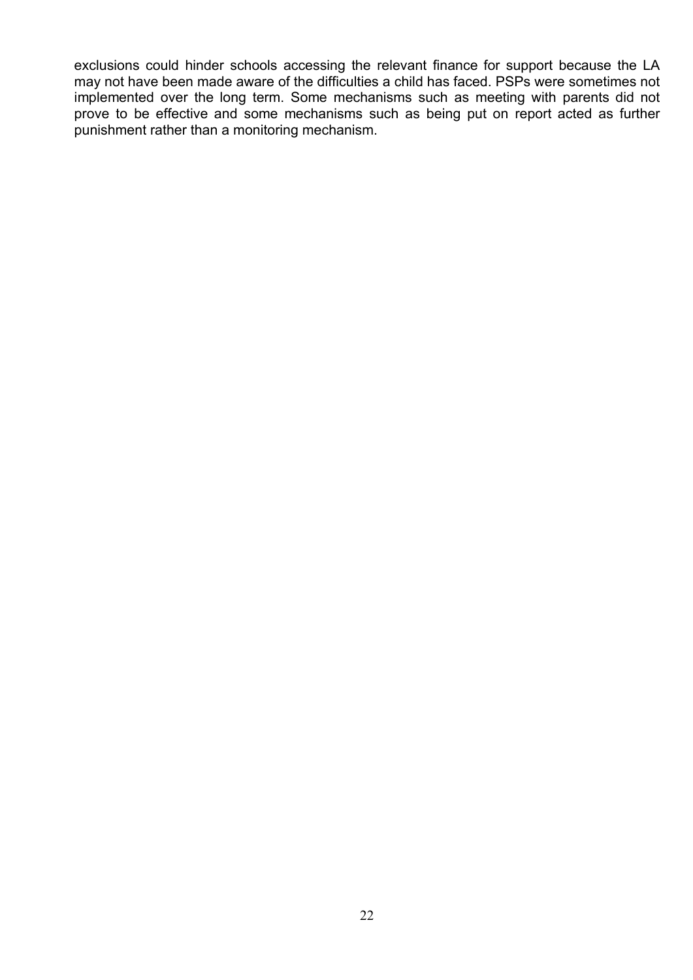exclusions could hinder schools accessing the relevant finance for support because the LA may not have been made aware of the difficulties a child has faced. PSPs were sometimes not implemented over the long term. Some mechanisms such as meeting with parents did not prove to be effective and some mechanisms such as being put on report acted as further punishment rather than a monitoring mechanism.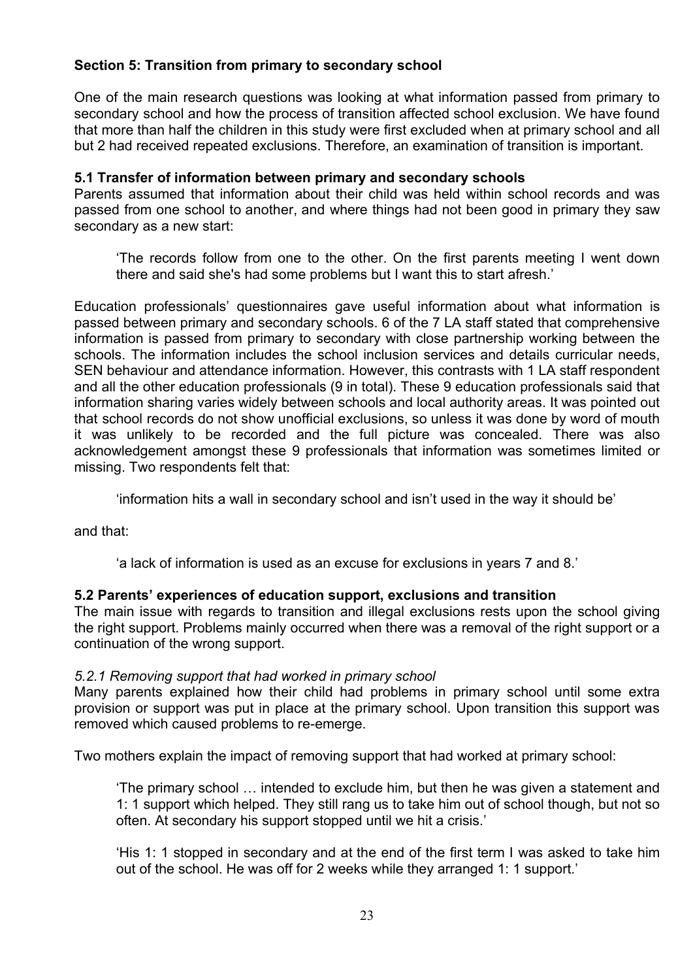# **Section 5: Transition from primary to secondary school**

One of the main research questions was looking at what information passed from primary to secondary school and how the process of transition affected school exclusion. We have found that more than half the children in this study were first excluded when at primary school and all but 2 had received repeated exclusions. Therefore, an examination of transition is important.

# **5.1 Transfer of information between primary and secondary schools**

Parents assumed that information about their child was held within school records and was passed from one school to another, and where things had not been good in primary they saw secondary as a new start:

'The records follow from one to the other. On the first parents meeting I went down there and said she's had some problems but I want this to start afresh.'

Education professionals' questionnaires gave useful information about what information is passed between primary and secondary schools. 6 of the 7 LA staff stated that comprehensive information is passed from primary to secondary with close partnership working between the schools. The information includes the school inclusion services and details curricular needs, SEN behaviour and attendance information. However, this contrasts with 1 LA staff respondent and all the other education professionals (9 in total). These 9 education professionals said that information sharing varies widely between schools and local authority areas. It was pointed out that school records do not show unofficial exclusions, so unless it was done by word of mouth it was unlikely to be recorded and the full picture was concealed. There was also acknowledgement amongst these 9 professionals that information was sometimes limited or missing. Two respondents felt that:

'information hits a wall in secondary school and isn't used in the way it should be'

and that:

'a lack of information is used as an excuse for exclusions in years 7 and 8.'

# **5.2 Parents' experiences of education support, exclusions and transition**

The main issue with regards to transition and illegal exclusions rests upon the school giving the right support. Problems mainly occurred when there was a removal of the right support or a continuation of the wrong support.

# *5.2.1 Removing support that had worked in primary school*

Many parents explained how their child had problems in primary school until some extra provision or support was put in place at the primary school. Upon transition this support was removed which caused problems to re-emerge.

Two mothers explain the impact of removing support that had worked at primary school:

'The primary school … intended to exclude him, but then he was given a statement and 1: 1 support which helped. They still rang us to take him out of school though, but not so often. At secondary his support stopped until we hit a crisis.'

'His 1: 1 stopped in secondary and at the end of the first term I was asked to take him out of the school. He was off for 2 weeks while they arranged 1: 1 support.'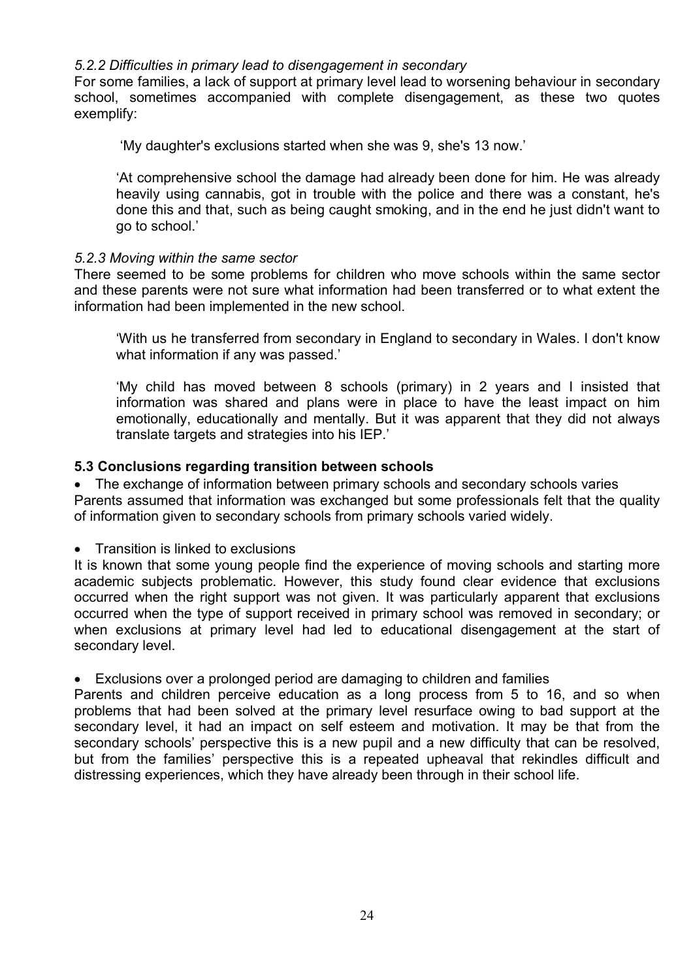## *5.2.2 Difficulties in primary lead to disengagement in secondary*

For some families, a lack of support at primary level lead to worsening behaviour in secondary school, sometimes accompanied with complete disengagement, as these two quotes exemplify:

'My daughter's exclusions started when she was 9, she's 13 now.'

'At comprehensive school the damage had already been done for him. He was already heavily using cannabis, got in trouble with the police and there was a constant, he's done this and that, such as being caught smoking, and in the end he just didn't want to go to school.'

## *5.2.3 Moving within the same sector*

There seemed to be some problems for children who move schools within the same sector and these parents were not sure what information had been transferred or to what extent the information had been implemented in the new school.

'With us he transferred from secondary in England to secondary in Wales. I don't know what information if any was passed.'

'My child has moved between 8 schools (primary) in 2 years and I insisted that information was shared and plans were in place to have the least impact on him emotionally, educationally and mentally. But it was apparent that they did not always translate targets and strategies into his IEP.'

## **5.3 Conclusions regarding transition between schools**

• The exchange of information between primary schools and secondary schools varies Parents assumed that information was exchanged but some professionals felt that the quality of information given to secondary schools from primary schools varied widely.

• Transition is linked to exclusions

It is known that some young people find the experience of moving schools and starting more academic subjects problematic. However, this study found clear evidence that exclusions occurred when the right support was not given. It was particularly apparent that exclusions occurred when the type of support received in primary school was removed in secondary; or when exclusions at primary level had led to educational disengagement at the start of secondary level.

Exclusions over a prolonged period are damaging to children and families

Parents and children perceive education as a long process from 5 to 16, and so when problems that had been solved at the primary level resurface owing to bad support at the secondary level, it had an impact on self esteem and motivation. It may be that from the secondary schools' perspective this is a new pupil and a new difficulty that can be resolved, but from the families' perspective this is a repeated upheaval that rekindles difficult and distressing experiences, which they have already been through in their school life.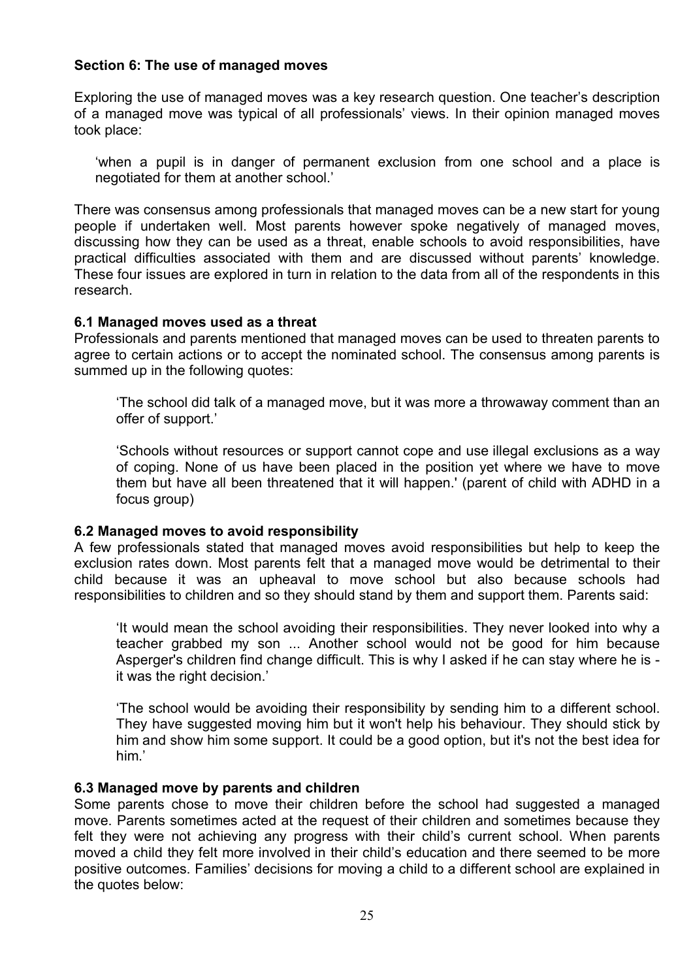## **Section 6: The use of managed moves**

Exploring the use of managed moves was a key research question. One teacher's description of a managed move was typical of all professionals' views. In their opinion managed moves took place:

'when a pupil is in danger of permanent exclusion from one school and a place is negotiated for them at another school.'

There was consensus among professionals that managed moves can be a new start for young people if undertaken well. Most parents however spoke negatively of managed moves, discussing how they can be used as a threat, enable schools to avoid responsibilities, have practical difficulties associated with them and are discussed without parents' knowledge. These four issues are explored in turn in relation to the data from all of the respondents in this research.

## **6.1 Managed moves used as a threat**

Professionals and parents mentioned that managed moves can be used to threaten parents to agree to certain actions or to accept the nominated school. The consensus among parents is summed up in the following quotes:

'The school did talk of a managed move, but it was more a throwaway comment than an offer of support.'

'Schools without resources or support cannot cope and use illegal exclusions as a way of coping. None of us have been placed in the position yet where we have to move them but have all been threatened that it will happen.' (parent of child with ADHD in a focus group)

## **6.2 Managed moves to avoid responsibility**

A few professionals stated that managed moves avoid responsibilities but help to keep the exclusion rates down. Most parents felt that a managed move would be detrimental to their child because it was an upheaval to move school but also because schools had responsibilities to children and so they should stand by them and support them. Parents said:

'It would mean the school avoiding their responsibilities. They never looked into why a teacher grabbed my son ... Another school would not be good for him because Asperger's children find change difficult. This is why I asked if he can stay where he is it was the right decision.'

'The school would be avoiding their responsibility by sending him to a different school. They have suggested moving him but it won't help his behaviour. They should stick by him and show him some support. It could be a good option, but it's not the best idea for him.'

#### **6.3 Managed move by parents and children**

Some parents chose to move their children before the school had suggested a managed move. Parents sometimes acted at the request of their children and sometimes because they felt they were not achieving any progress with their child's current school. When parents moved a child they felt more involved in their child's education and there seemed to be more positive outcomes. Families' decisions for moving a child to a different school are explained in the quotes below: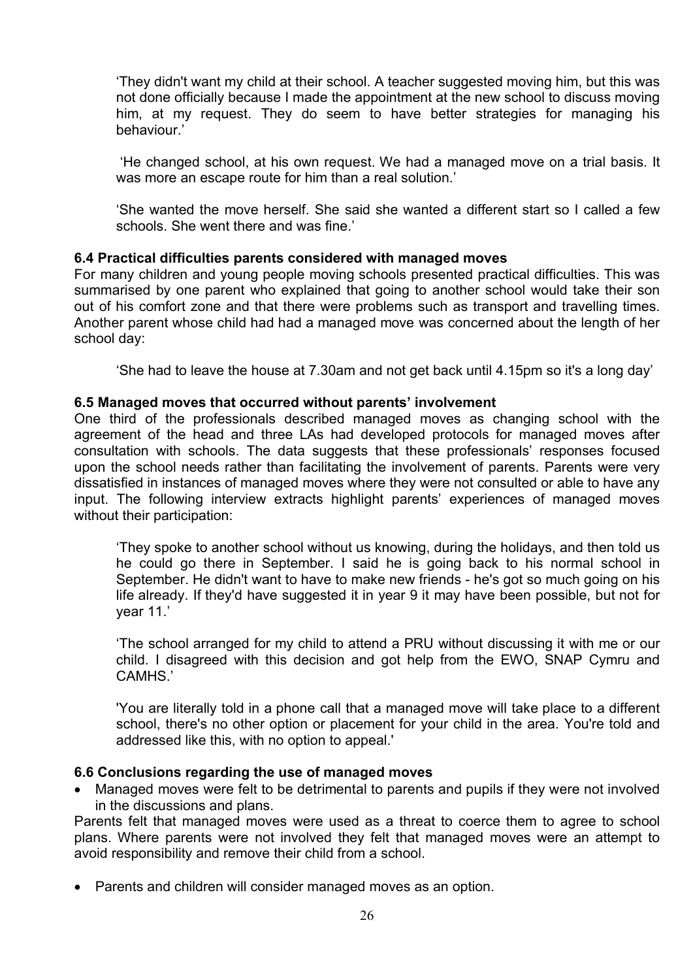'They didn't want my child at their school. A teacher suggested moving him, but this was not done officially because I made the appointment at the new school to discuss moving him, at my request. They do seem to have better strategies for managing his behaviour.'

 'He changed school, at his own request. We had a managed move on a trial basis. It was more an escape route for him than a real solution.'

'She wanted the move herself. She said she wanted a different start so I called a few schools. She went there and was fine.'

## **6.4 Practical difficulties parents considered with managed moves**

For many children and young people moving schools presented practical difficulties. This was summarised by one parent who explained that going to another school would take their son out of his comfort zone and that there were problems such as transport and travelling times. Another parent whose child had had a managed move was concerned about the length of her school day:

'She had to leave the house at 7.30am and not get back until 4.15pm so it's a long day'

## **6.5 Managed moves that occurred without parents' involvement**

One third of the professionals described managed moves as changing school with the agreement of the head and three LAs had developed protocols for managed moves after consultation with schools. The data suggests that these professionals' responses focused upon the school needs rather than facilitating the involvement of parents. Parents were very dissatisfied in instances of managed moves where they were not consulted or able to have any input. The following interview extracts highlight parents' experiences of managed moves without their participation:

'They spoke to another school without us knowing, during the holidays, and then told us he could go there in September. I said he is going back to his normal school in September. He didn't want to have to make new friends - he's got so much going on his life already. If they'd have suggested it in year 9 it may have been possible, but not for year 11.'

'The school arranged for my child to attend a PRU without discussing it with me or our child. I disagreed with this decision and got help from the EWO, SNAP Cymru and CAMHS.'

'You are literally told in a phone call that a managed move will take place to a different school, there's no other option or placement for your child in the area. You're told and addressed like this, with no option to appeal.'

## **6.6 Conclusions regarding the use of managed moves**

 Managed moves were felt to be detrimental to parents and pupils if they were not involved in the discussions and plans.

Parents felt that managed moves were used as a threat to coerce them to agree to school plans. Where parents were not involved they felt that managed moves were an attempt to avoid responsibility and remove their child from a school.

• Parents and children will consider managed moves as an option.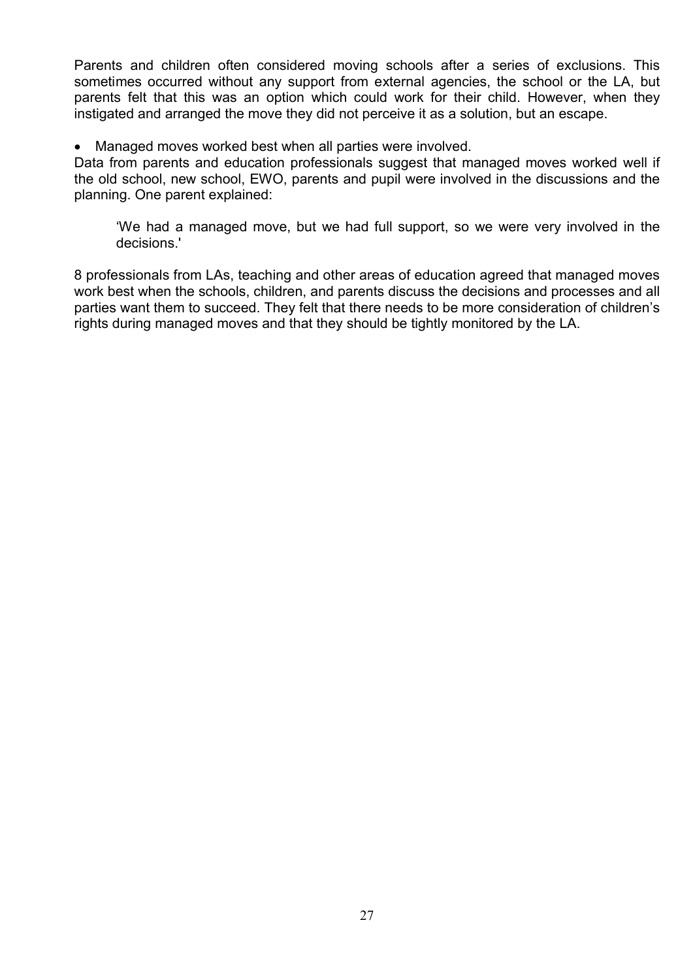Parents and children often considered moving schools after a series of exclusions. This sometimes occurred without any support from external agencies, the school or the LA, but parents felt that this was an option which could work for their child. However, when they instigated and arranged the move they did not perceive it as a solution, but an escape.

Managed moves worked best when all parties were involved.

Data from parents and education professionals suggest that managed moves worked well if the old school, new school, EWO, parents and pupil were involved in the discussions and the planning. One parent explained:

'We had a managed move, but we had full support, so we were very involved in the decisions.'

8 professionals from LAs, teaching and other areas of education agreed that managed moves work best when the schools, children, and parents discuss the decisions and processes and all parties want them to succeed. They felt that there needs to be more consideration of children's rights during managed moves and that they should be tightly monitored by the LA.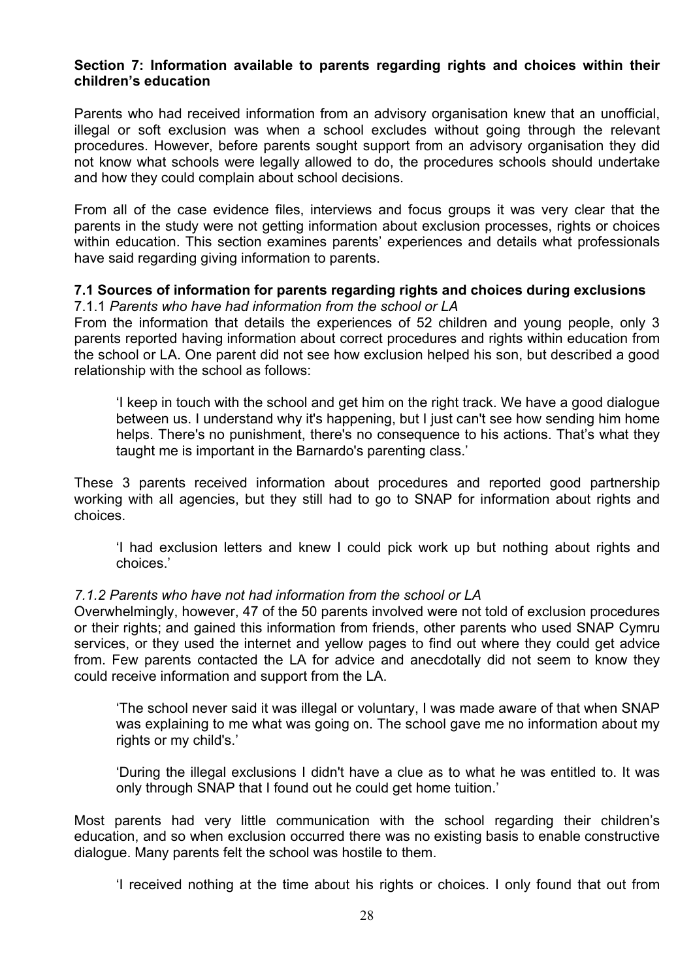## **Section 7: Information available to parents regarding rights and choices within their children's education**

Parents who had received information from an advisory organisation knew that an unofficial, illegal or soft exclusion was when a school excludes without going through the relevant procedures. However, before parents sought support from an advisory organisation they did not know what schools were legally allowed to do, the procedures schools should undertake and how they could complain about school decisions.

From all of the case evidence files, interviews and focus groups it was very clear that the parents in the study were not getting information about exclusion processes, rights or choices within education. This section examines parents' experiences and details what professionals have said regarding giving information to parents.

#### **7.1 Sources of information for parents regarding rights and choices during exclusions**  7.1.1 *Parents who have had information from the school or LA*

From the information that details the experiences of 52 children and young people, only 3 parents reported having information about correct procedures and rights within education from the school or LA. One parent did not see how exclusion helped his son, but described a good relationship with the school as follows:

'I keep in touch with the school and get him on the right track. We have a good dialogue between us. I understand why it's happening, but I just can't see how sending him home helps. There's no punishment, there's no consequence to his actions. That's what they taught me is important in the Barnardo's parenting class.'

These 3 parents received information about procedures and reported good partnership working with all agencies, but they still had to go to SNAP for information about rights and choices.

'I had exclusion letters and knew I could pick work up but nothing about rights and choices.'

# *7.1.2 Parents who have not had information from the school or LA*

Overwhelmingly, however, 47 of the 50 parents involved were not told of exclusion procedures or their rights; and gained this information from friends, other parents who used SNAP Cymru services, or they used the internet and yellow pages to find out where they could get advice from. Few parents contacted the LA for advice and anecdotally did not seem to know they could receive information and support from the LA.

'The school never said it was illegal or voluntary, I was made aware of that when SNAP was explaining to me what was going on. The school gave me no information about my rights or my child's.'

'During the illegal exclusions I didn't have a clue as to what he was entitled to. It was only through SNAP that I found out he could get home tuition.'

Most parents had very little communication with the school regarding their children's education, and so when exclusion occurred there was no existing basis to enable constructive dialogue. Many parents felt the school was hostile to them.

'I received nothing at the time about his rights or choices. I only found that out from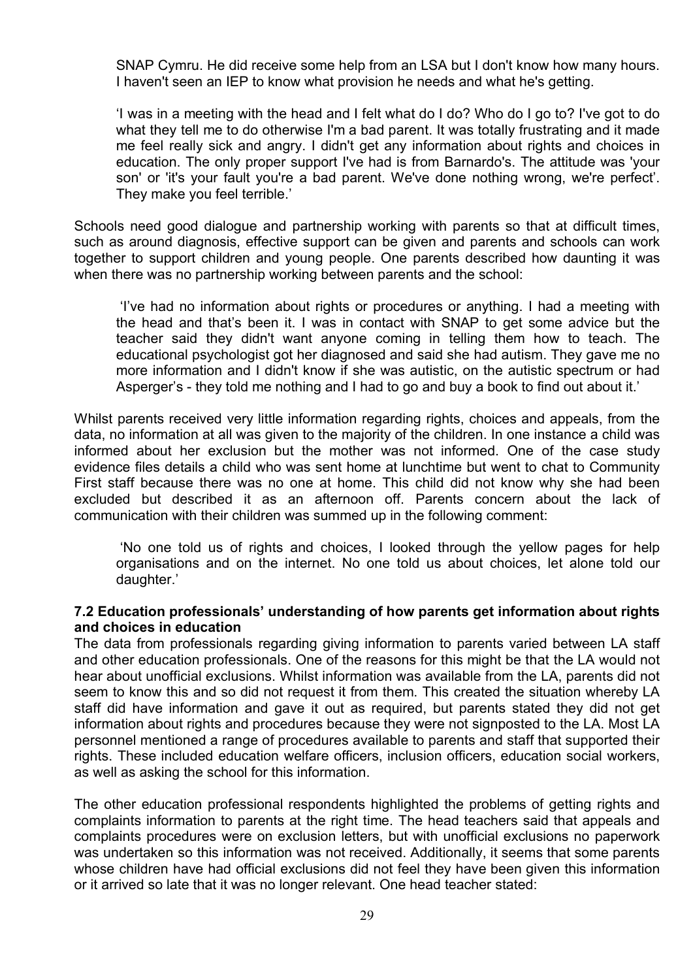SNAP Cymru. He did receive some help from an LSA but I don't know how many hours. I haven't seen an IEP to know what provision he needs and what he's getting.

'I was in a meeting with the head and I felt what do I do? Who do I go to? I've got to do what they tell me to do otherwise I'm a bad parent. It was totally frustrating and it made me feel really sick and angry. I didn't get any information about rights and choices in education. The only proper support I've had is from Barnardo's. The attitude was 'your son' or 'it's your fault you're a bad parent. We've done nothing wrong, we're perfect'. They make you feel terrible.'

Schools need good dialogue and partnership working with parents so that at difficult times, such as around diagnosis, effective support can be given and parents and schools can work together to support children and young people. One parents described how daunting it was when there was no partnership working between parents and the school:

 'I've had no information about rights or procedures or anything. I had a meeting with the head and that's been it. I was in contact with SNAP to get some advice but the teacher said they didn't want anyone coming in telling them how to teach. The educational psychologist got her diagnosed and said she had autism. They gave me no more information and I didn't know if she was autistic, on the autistic spectrum or had Asperger's - they told me nothing and I had to go and buy a book to find out about it.'

Whilst parents received very little information regarding rights, choices and appeals, from the data, no information at all was given to the majority of the children. In one instance a child was informed about her exclusion but the mother was not informed. One of the case study evidence files details a child who was sent home at lunchtime but went to chat to Community First staff because there was no one at home. This child did not know why she had been excluded but described it as an afternoon off. Parents concern about the lack of communication with their children was summed up in the following comment:

 'No one told us of rights and choices, I looked through the yellow pages for help organisations and on the internet. No one told us about choices, let alone told our daughter.'

#### **7.2 Education professionals' understanding of how parents get information about rights and choices in education**

The data from professionals regarding giving information to parents varied between LA staff and other education professionals. One of the reasons for this might be that the LA would not hear about unofficial exclusions. Whilst information was available from the LA, parents did not seem to know this and so did not request it from them. This created the situation whereby LA staff did have information and gave it out as required, but parents stated they did not get information about rights and procedures because they were not signposted to the LA. Most LA personnel mentioned a range of procedures available to parents and staff that supported their rights. These included education welfare officers, inclusion officers, education social workers, as well as asking the school for this information.

The other education professional respondents highlighted the problems of getting rights and complaints information to parents at the right time. The head teachers said that appeals and complaints procedures were on exclusion letters, but with unofficial exclusions no paperwork was undertaken so this information was not received. Additionally, it seems that some parents whose children have had official exclusions did not feel they have been given this information or it arrived so late that it was no longer relevant. One head teacher stated: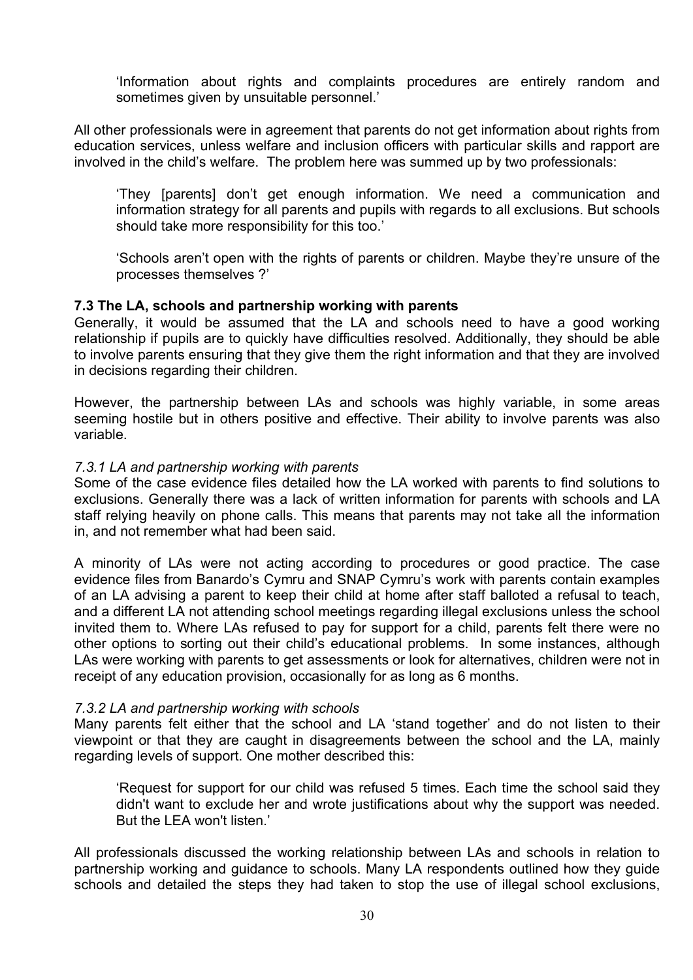'Information about rights and complaints procedures are entirely random and sometimes given by unsuitable personnel.'

All other professionals were in agreement that parents do not get information about rights from education services, unless welfare and inclusion officers with particular skills and rapport are involved in the child's welfare. The problem here was summed up by two professionals:

'They [parents] don't get enough information. We need a communication and information strategy for all parents and pupils with regards to all exclusions. But schools should take more responsibility for this too.'

'Schools aren't open with the rights of parents or children. Maybe they're unsure of the processes themselves ?'

## **7.3 The LA, schools and partnership working with parents**

Generally, it would be assumed that the LA and schools need to have a good working relationship if pupils are to quickly have difficulties resolved. Additionally, they should be able to involve parents ensuring that they give them the right information and that they are involved in decisions regarding their children.

However, the partnership between LAs and schools was highly variable, in some areas seeming hostile but in others positive and effective. Their ability to involve parents was also variable.

#### *7.3.1 LA and partnership working with parents*

Some of the case evidence files detailed how the LA worked with parents to find solutions to exclusions. Generally there was a lack of written information for parents with schools and LA staff relying heavily on phone calls. This means that parents may not take all the information in, and not remember what had been said.

A minority of LAs were not acting according to procedures or good practice. The case evidence files from Banardo's Cymru and SNAP Cymru's work with parents contain examples of an LA advising a parent to keep their child at home after staff balloted a refusal to teach, and a different LA not attending school meetings regarding illegal exclusions unless the school invited them to. Where LAs refused to pay for support for a child, parents felt there were no other options to sorting out their child's educational problems. In some instances, although LAs were working with parents to get assessments or look for alternatives, children were not in receipt of any education provision, occasionally for as long as 6 months.

#### *7.3.2 LA and partnership working with schools*

Many parents felt either that the school and LA 'stand together' and do not listen to their viewpoint or that they are caught in disagreements between the school and the LA, mainly regarding levels of support. One mother described this:

'Request for support for our child was refused 5 times. Each time the school said they didn't want to exclude her and wrote justifications about why the support was needed. But the LEA won't listen.'

All professionals discussed the working relationship between LAs and schools in relation to partnership working and guidance to schools. Many LA respondents outlined how they guide schools and detailed the steps they had taken to stop the use of illegal school exclusions,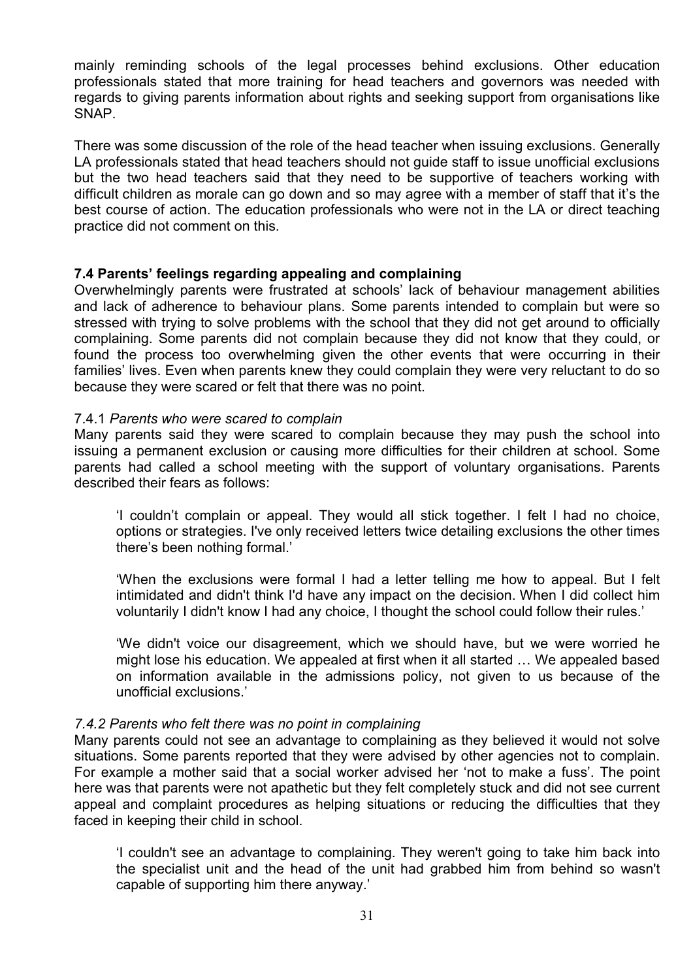mainly reminding schools of the legal processes behind exclusions. Other education professionals stated that more training for head teachers and governors was needed with regards to giving parents information about rights and seeking support from organisations like SNAP.

There was some discussion of the role of the head teacher when issuing exclusions. Generally LA professionals stated that head teachers should not guide staff to issue unofficial exclusions but the two head teachers said that they need to be supportive of teachers working with difficult children as morale can go down and so may agree with a member of staff that it's the best course of action. The education professionals who were not in the LA or direct teaching practice did not comment on this.

## **7.4 Parents' feelings regarding appealing and complaining**

Overwhelmingly parents were frustrated at schools' lack of behaviour management abilities and lack of adherence to behaviour plans. Some parents intended to complain but were so stressed with trying to solve problems with the school that they did not get around to officially complaining. Some parents did not complain because they did not know that they could, or found the process too overwhelming given the other events that were occurring in their families' lives. Even when parents knew they could complain they were very reluctant to do so because they were scared or felt that there was no point.

## 7.4.1 *Parents who were scared to complain*

Many parents said they were scared to complain because they may push the school into issuing a permanent exclusion or causing more difficulties for their children at school. Some parents had called a school meeting with the support of voluntary organisations. Parents described their fears as follows:

'I couldn't complain or appeal. They would all stick together. I felt I had no choice, options or strategies. I've only received letters twice detailing exclusions the other times there's been nothing formal.'

'When the exclusions were formal I had a letter telling me how to appeal. But I felt intimidated and didn't think I'd have any impact on the decision. When I did collect him voluntarily I didn't know I had any choice, I thought the school could follow their rules.'

'We didn't voice our disagreement, which we should have, but we were worried he might lose his education. We appealed at first when it all started … We appealed based on information available in the admissions policy, not given to us because of the unofficial exclusions.'

## *7.4.2 Parents who felt there was no point in complaining*

Many parents could not see an advantage to complaining as they believed it would not solve situations. Some parents reported that they were advised by other agencies not to complain. For example a mother said that a social worker advised her 'not to make a fuss'. The point here was that parents were not apathetic but they felt completely stuck and did not see current appeal and complaint procedures as helping situations or reducing the difficulties that they faced in keeping their child in school.

'I couldn't see an advantage to complaining. They weren't going to take him back into the specialist unit and the head of the unit had grabbed him from behind so wasn't capable of supporting him there anyway.'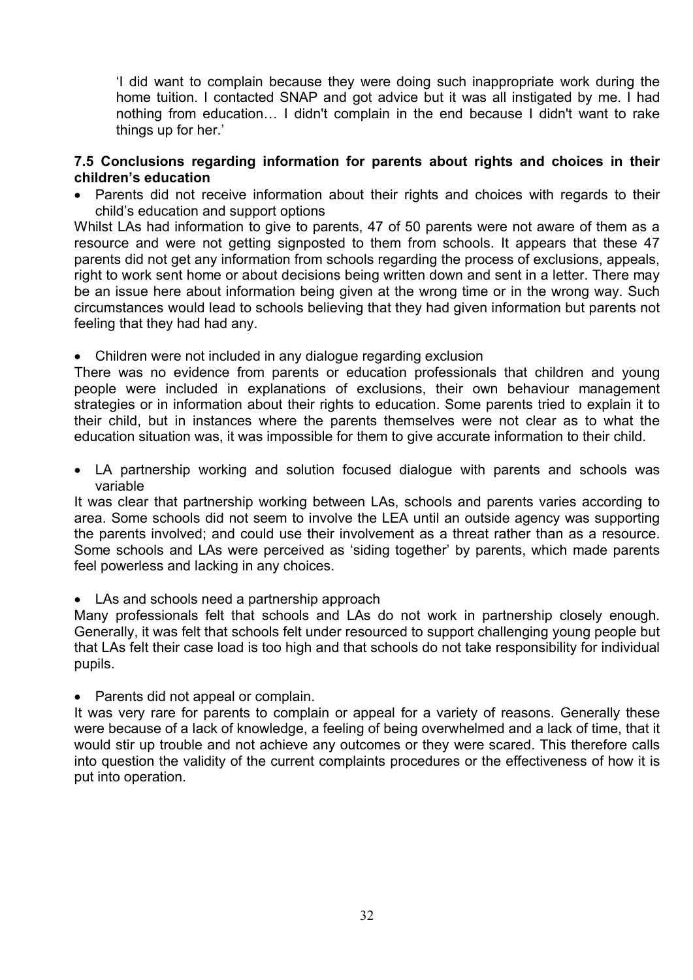'I did want to complain because they were doing such inappropriate work during the home tuition. I contacted SNAP and got advice but it was all instigated by me. I had nothing from education… I didn't complain in the end because I didn't want to rake things up for her.'

## **7.5 Conclusions regarding information for parents about rights and choices in their children's education**

• Parents did not receive information about their rights and choices with regards to their child's education and support options

Whilst LAs had information to give to parents, 47 of 50 parents were not aware of them as a resource and were not getting signposted to them from schools. It appears that these 47 parents did not get any information from schools regarding the process of exclusions, appeals, right to work sent home or about decisions being written down and sent in a letter. There may be an issue here about information being given at the wrong time or in the wrong way. Such circumstances would lead to schools believing that they had given information but parents not feeling that they had had any.

• Children were not included in any dialogue regarding exclusion

There was no evidence from parents or education professionals that children and young people were included in explanations of exclusions, their own behaviour management strategies or in information about their rights to education. Some parents tried to explain it to their child, but in instances where the parents themselves were not clear as to what the education situation was, it was impossible for them to give accurate information to their child.

 LA partnership working and solution focused dialogue with parents and schools was variable

It was clear that partnership working between LAs, schools and parents varies according to area. Some schools did not seem to involve the LEA until an outside agency was supporting the parents involved; and could use their involvement as a threat rather than as a resource. Some schools and LAs were perceived as 'siding together' by parents, which made parents feel powerless and lacking in any choices.

• LAs and schools need a partnership approach

Many professionals felt that schools and LAs do not work in partnership closely enough. Generally, it was felt that schools felt under resourced to support challenging young people but that LAs felt their case load is too high and that schools do not take responsibility for individual pupils.

• Parents did not appeal or complain.

It was very rare for parents to complain or appeal for a variety of reasons. Generally these were because of a lack of knowledge, a feeling of being overwhelmed and a lack of time, that it would stir up trouble and not achieve any outcomes or they were scared. This therefore calls into question the validity of the current complaints procedures or the effectiveness of how it is put into operation.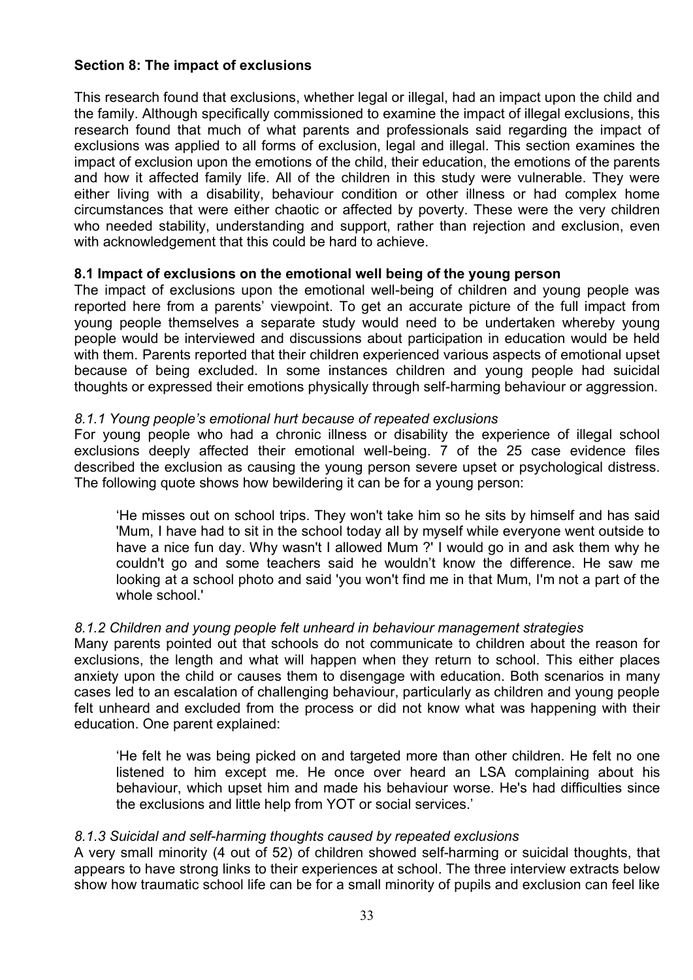# **Section 8: The impact of exclusions**

This research found that exclusions, whether legal or illegal, had an impact upon the child and the family. Although specifically commissioned to examine the impact of illegal exclusions, this research found that much of what parents and professionals said regarding the impact of exclusions was applied to all forms of exclusion, legal and illegal. This section examines the impact of exclusion upon the emotions of the child, their education, the emotions of the parents and how it affected family life. All of the children in this study were vulnerable. They were either living with a disability, behaviour condition or other illness or had complex home circumstances that were either chaotic or affected by poverty. These were the very children who needed stability, understanding and support, rather than rejection and exclusion, even with acknowledgement that this could be hard to achieve.

## **8.1 Impact of exclusions on the emotional well being of the young person**

The impact of exclusions upon the emotional well-being of children and young people was reported here from a parents' viewpoint. To get an accurate picture of the full impact from young people themselves a separate study would need to be undertaken whereby young people would be interviewed and discussions about participation in education would be held with them. Parents reported that their children experienced various aspects of emotional upset because of being excluded. In some instances children and young people had suicidal thoughts or expressed their emotions physically through self-harming behaviour or aggression.

#### *8.1.1 Young people's emotional hurt because of repeated exclusions*

For young people who had a chronic illness or disability the experience of illegal school exclusions deeply affected their emotional well-being. 7 of the 25 case evidence files described the exclusion as causing the young person severe upset or psychological distress. The following quote shows how bewildering it can be for a young person:

'He misses out on school trips. They won't take him so he sits by himself and has said 'Mum, I have had to sit in the school today all by myself while everyone went outside to have a nice fun day. Why wasn't I allowed Mum ?' I would go in and ask them why he couldn't go and some teachers said he wouldn't know the difference. He saw me looking at a school photo and said 'you won't find me in that Mum, I'm not a part of the whole school.'

## *8.1.2 Children and young people felt unheard in behaviour management strategies*

Many parents pointed out that schools do not communicate to children about the reason for exclusions, the length and what will happen when they return to school. This either places anxiety upon the child or causes them to disengage with education. Both scenarios in many cases led to an escalation of challenging behaviour, particularly as children and young people felt unheard and excluded from the process or did not know what was happening with their education. One parent explained:

'He felt he was being picked on and targeted more than other children. He felt no one listened to him except me. He once over heard an LSA complaining about his behaviour, which upset him and made his behaviour worse. He's had difficulties since the exclusions and little help from YOT or social services.'

## *8.1.3 Suicidal and self-harming thoughts caused by repeated exclusions*

A very small minority (4 out of 52) of children showed self-harming or suicidal thoughts, that appears to have strong links to their experiences at school. The three interview extracts below show how traumatic school life can be for a small minority of pupils and exclusion can feel like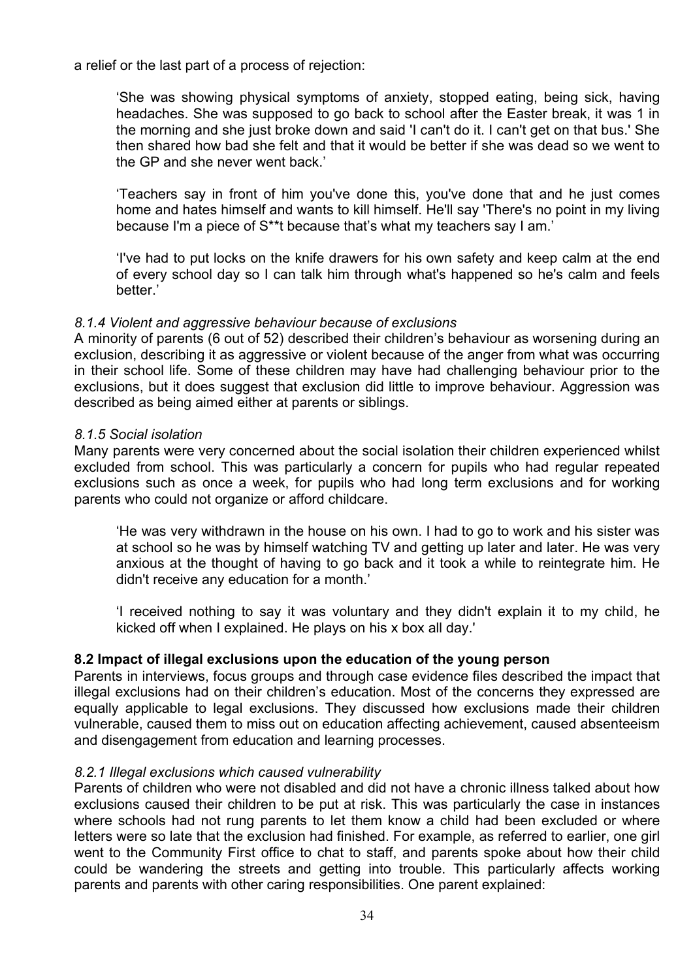a relief or the last part of a process of rejection:

'She was showing physical symptoms of anxiety, stopped eating, being sick, having headaches. She was supposed to go back to school after the Easter break, it was 1 in the morning and she just broke down and said 'I can't do it. I can't get on that bus.' She then shared how bad she felt and that it would be better if she was dead so we went to the GP and she never went back.'

'Teachers say in front of him you've done this, you've done that and he just comes home and hates himself and wants to kill himself. He'll say 'There's no point in my living because I'm a piece of S\*\*t because that's what my teachers say I am.'

'I've had to put locks on the knife drawers for his own safety and keep calm at the end of every school day so I can talk him through what's happened so he's calm and feels better.'

#### *8.1.4 Violent and aggressive behaviour because of exclusions*

A minority of parents (6 out of 52) described their children's behaviour as worsening during an exclusion, describing it as aggressive or violent because of the anger from what was occurring in their school life. Some of these children may have had challenging behaviour prior to the exclusions, but it does suggest that exclusion did little to improve behaviour. Aggression was described as being aimed either at parents or siblings.

#### *8.1.5 Social isolation*

Many parents were very concerned about the social isolation their children experienced whilst excluded from school. This was particularly a concern for pupils who had regular repeated exclusions such as once a week, for pupils who had long term exclusions and for working parents who could not organize or afford childcare.

'He was very withdrawn in the house on his own. I had to go to work and his sister was at school so he was by himself watching TV and getting up later and later. He was very anxious at the thought of having to go back and it took a while to reintegrate him. He didn't receive any education for a month.'

'I received nothing to say it was voluntary and they didn't explain it to my child, he kicked off when I explained. He plays on his x box all day.'

## **8.2 Impact of illegal exclusions upon the education of the young person**

Parents in interviews, focus groups and through case evidence files described the impact that illegal exclusions had on their children's education. Most of the concerns they expressed are equally applicable to legal exclusions. They discussed how exclusions made their children vulnerable, caused them to miss out on education affecting achievement, caused absenteeism and disengagement from education and learning processes.

#### *8.2.1 Illegal exclusions which caused vulnerability*

Parents of children who were not disabled and did not have a chronic illness talked about how exclusions caused their children to be put at risk. This was particularly the case in instances where schools had not rung parents to let them know a child had been excluded or where letters were so late that the exclusion had finished. For example, as referred to earlier, one girl went to the Community First office to chat to staff, and parents spoke about how their child could be wandering the streets and getting into trouble. This particularly affects working parents and parents with other caring responsibilities. One parent explained: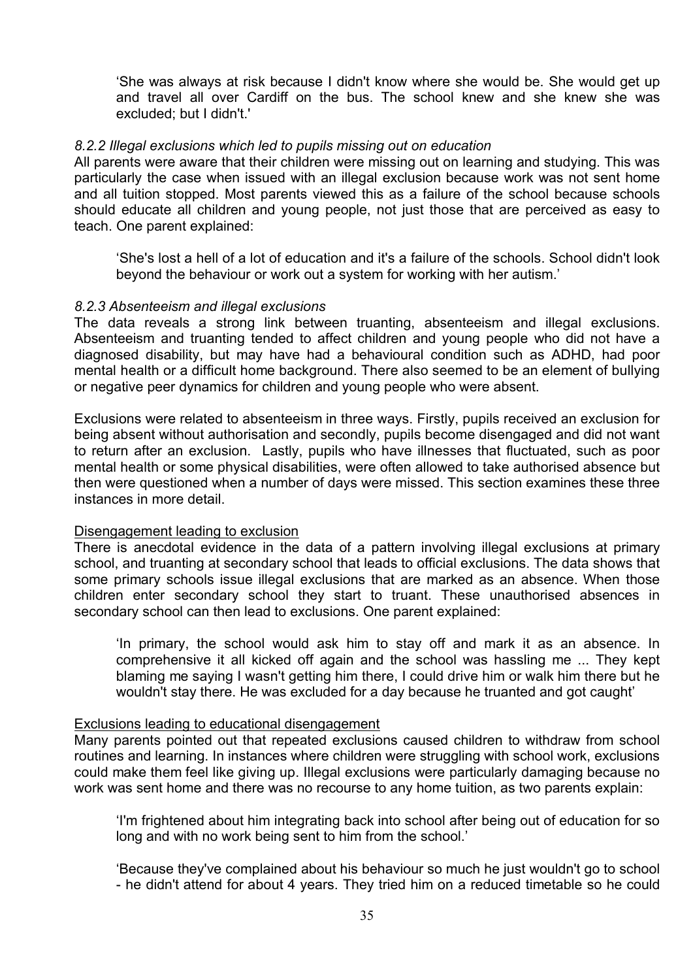'She was always at risk because I didn't know where she would be. She would get up and travel all over Cardiff on the bus. The school knew and she knew she was excluded; but I didn't.'

#### *8.2.2 Illegal exclusions which led to pupils missing out on education*

All parents were aware that their children were missing out on learning and studying. This was particularly the case when issued with an illegal exclusion because work was not sent home and all tuition stopped. Most parents viewed this as a failure of the school because schools should educate all children and young people, not just those that are perceived as easy to teach. One parent explained:

'She's lost a hell of a lot of education and it's a failure of the schools. School didn't look beyond the behaviour or work out a system for working with her autism.'

#### *8.2.3 Absenteeism and illegal exclusions*

The data reveals a strong link between truanting, absenteeism and illegal exclusions. Absenteeism and truanting tended to affect children and young people who did not have a diagnosed disability, but may have had a behavioural condition such as ADHD, had poor mental health or a difficult home background. There also seemed to be an element of bullying or negative peer dynamics for children and young people who were absent.

Exclusions were related to absenteeism in three ways. Firstly, pupils received an exclusion for being absent without authorisation and secondly, pupils become disengaged and did not want to return after an exclusion. Lastly, pupils who have illnesses that fluctuated, such as poor mental health or some physical disabilities, were often allowed to take authorised absence but then were questioned when a number of days were missed. This section examines these three instances in more detail.

#### Disengagement leading to exclusion

There is anecdotal evidence in the data of a pattern involving illegal exclusions at primary school, and truanting at secondary school that leads to official exclusions. The data shows that some primary schools issue illegal exclusions that are marked as an absence. When those children enter secondary school they start to truant. These unauthorised absences in secondary school can then lead to exclusions. One parent explained:

'In primary, the school would ask him to stay off and mark it as an absence. In comprehensive it all kicked off again and the school was hassling me ... They kept blaming me saying I wasn't getting him there, I could drive him or walk him there but he wouldn't stay there. He was excluded for a day because he truanted and got caught'

#### Exclusions leading to educational disengagement

Many parents pointed out that repeated exclusions caused children to withdraw from school routines and learning. In instances where children were struggling with school work, exclusions could make them feel like giving up. Illegal exclusions were particularly damaging because no work was sent home and there was no recourse to any home tuition, as two parents explain:

'I'm frightened about him integrating back into school after being out of education for so long and with no work being sent to him from the school.'

'Because they've complained about his behaviour so much he just wouldn't go to school - he didn't attend for about 4 years. They tried him on a reduced timetable so he could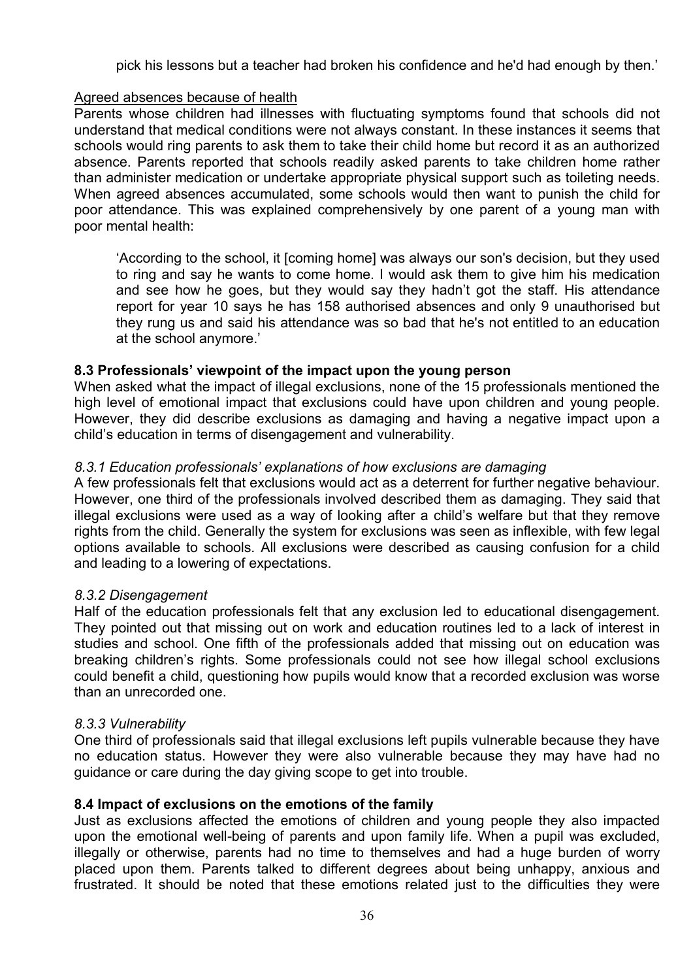pick his lessons but a teacher had broken his confidence and he'd had enough by then.'

## Agreed absences because of health

Parents whose children had illnesses with fluctuating symptoms found that schools did not understand that medical conditions were not always constant. In these instances it seems that schools would ring parents to ask them to take their child home but record it as an authorized absence. Parents reported that schools readily asked parents to take children home rather than administer medication or undertake appropriate physical support such as toileting needs. When agreed absences accumulated, some schools would then want to punish the child for poor attendance. This was explained comprehensively by one parent of a young man with poor mental health:

'According to the school, it [coming home] was always our son's decision, but they used to ring and say he wants to come home. I would ask them to give him his medication and see how he goes, but they would say they hadn't got the staff. His attendance report for year 10 says he has 158 authorised absences and only 9 unauthorised but they rung us and said his attendance was so bad that he's not entitled to an education at the school anymore.'

## **8.3 Professionals' viewpoint of the impact upon the young person**

When asked what the impact of illegal exclusions, none of the 15 professionals mentioned the high level of emotional impact that exclusions could have upon children and young people. However, they did describe exclusions as damaging and having a negative impact upon a child's education in terms of disengagement and vulnerability.

## *8.3.1 Education professionals' explanations of how exclusions are damaging*

A few professionals felt that exclusions would act as a deterrent for further negative behaviour. However, one third of the professionals involved described them as damaging. They said that illegal exclusions were used as a way of looking after a child's welfare but that they remove rights from the child. Generally the system for exclusions was seen as inflexible, with few legal options available to schools. All exclusions were described as causing confusion for a child and leading to a lowering of expectations.

## *8.3.2 Disengagement*

Half of the education professionals felt that any exclusion led to educational disengagement. They pointed out that missing out on work and education routines led to a lack of interest in studies and school. One fifth of the professionals added that missing out on education was breaking children's rights. Some professionals could not see how illegal school exclusions could benefit a child, questioning how pupils would know that a recorded exclusion was worse than an unrecorded one.

## *8.3.3 Vulnerability*

One third of professionals said that illegal exclusions left pupils vulnerable because they have no education status. However they were also vulnerable because they may have had no guidance or care during the day giving scope to get into trouble.

## **8.4 Impact of exclusions on the emotions of the family**

Just as exclusions affected the emotions of children and young people they also impacted upon the emotional well-being of parents and upon family life. When a pupil was excluded, illegally or otherwise, parents had no time to themselves and had a huge burden of worry placed upon them. Parents talked to different degrees about being unhappy, anxious and frustrated. It should be noted that these emotions related just to the difficulties they were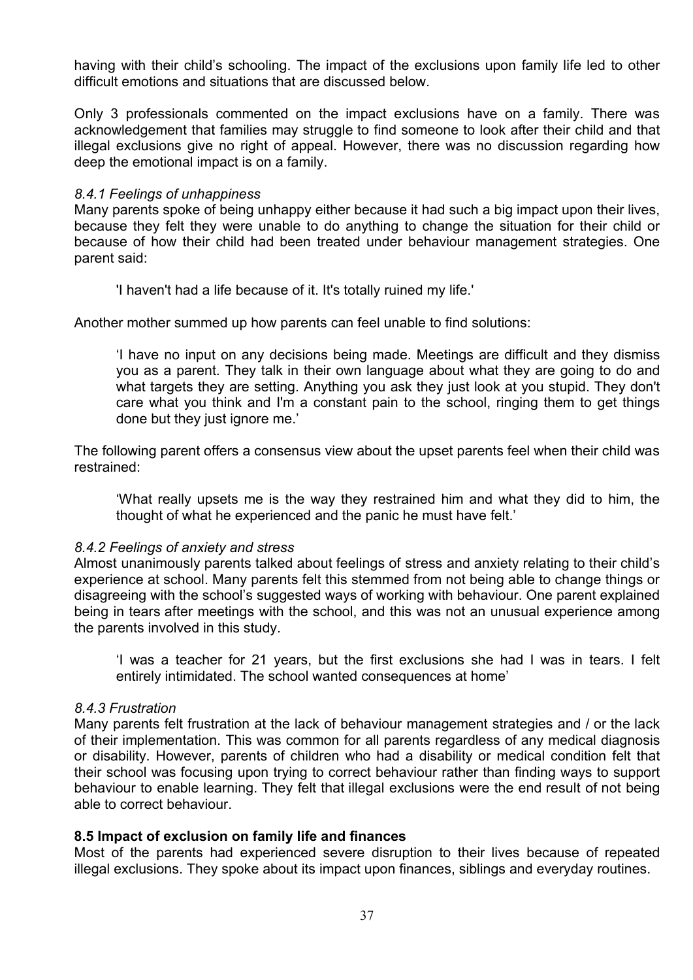having with their child's schooling. The impact of the exclusions upon family life led to other difficult emotions and situations that are discussed below.

Only 3 professionals commented on the impact exclusions have on a family. There was acknowledgement that families may struggle to find someone to look after their child and that illegal exclusions give no right of appeal. However, there was no discussion regarding how deep the emotional impact is on a family.

#### *8.4.1 Feelings of unhappiness*

Many parents spoke of being unhappy either because it had such a big impact upon their lives, because they felt they were unable to do anything to change the situation for their child or because of how their child had been treated under behaviour management strategies. One parent said:

'I haven't had a life because of it. It's totally ruined my life.'

Another mother summed up how parents can feel unable to find solutions:

'I have no input on any decisions being made. Meetings are difficult and they dismiss you as a parent. They talk in their own language about what they are going to do and what targets they are setting. Anything you ask they just look at you stupid. They don't care what you think and I'm a constant pain to the school, ringing them to get things done but they just ignore me.'

The following parent offers a consensus view about the upset parents feel when their child was restrained:

'What really upsets me is the way they restrained him and what they did to him, the thought of what he experienced and the panic he must have felt.'

## *8.4.2 Feelings of anxiety and stress*

Almost unanimously parents talked about feelings of stress and anxiety relating to their child's experience at school. Many parents felt this stemmed from not being able to change things or disagreeing with the school's suggested ways of working with behaviour. One parent explained being in tears after meetings with the school, and this was not an unusual experience among the parents involved in this study.

'I was a teacher for 21 years, but the first exclusions she had I was in tears. I felt entirely intimidated. The school wanted consequences at home'

## *8.4.3 Frustration*

Many parents felt frustration at the lack of behaviour management strategies and / or the lack of their implementation. This was common for all parents regardless of any medical diagnosis or disability. However, parents of children who had a disability or medical condition felt that their school was focusing upon trying to correct behaviour rather than finding ways to support behaviour to enable learning. They felt that illegal exclusions were the end result of not being able to correct behaviour.

## **8.5 Impact of exclusion on family life and finances**

Most of the parents had experienced severe disruption to their lives because of repeated illegal exclusions. They spoke about its impact upon finances, siblings and everyday routines.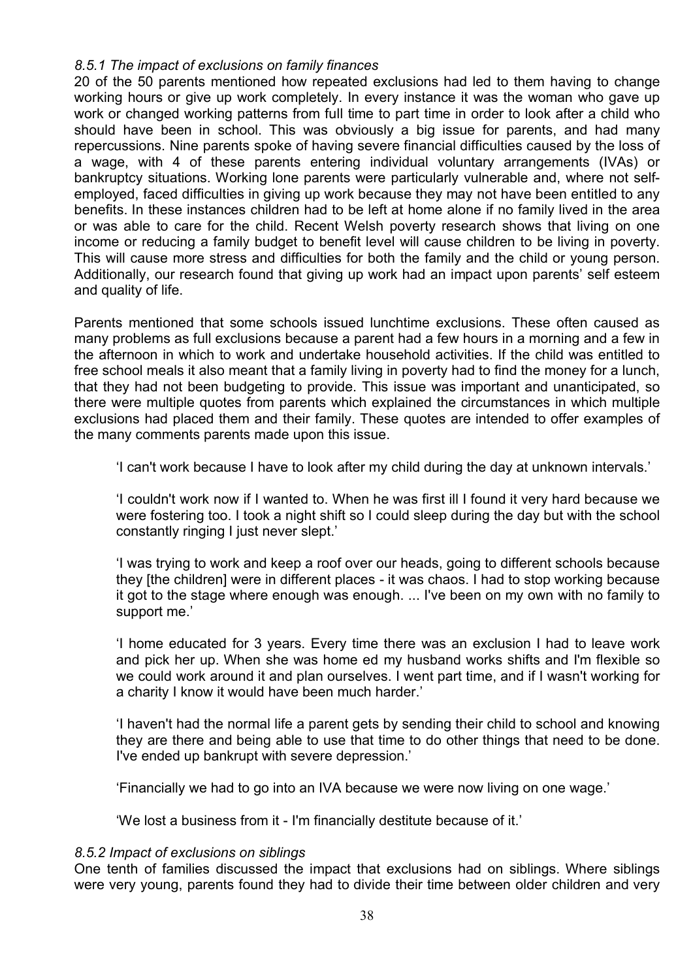## *8.5.1 The impact of exclusions on family finances*

20 of the 50 parents mentioned how repeated exclusions had led to them having to change working hours or give up work completely. In every instance it was the woman who gave up work or changed working patterns from full time to part time in order to look after a child who should have been in school. This was obviously a big issue for parents, and had many repercussions. Nine parents spoke of having severe financial difficulties caused by the loss of a wage, with 4 of these parents entering individual voluntary arrangements (IVAs) or bankruptcy situations. Working lone parents were particularly vulnerable and, where not selfemployed, faced difficulties in giving up work because they may not have been entitled to any benefits. In these instances children had to be left at home alone if no family lived in the area or was able to care for the child. Recent Welsh poverty research shows that living on one income or reducing a family budget to benefit level will cause children to be living in poverty. This will cause more stress and difficulties for both the family and the child or young person. Additionally, our research found that giving up work had an impact upon parents' self esteem and quality of life.

Parents mentioned that some schools issued lunchtime exclusions. These often caused as many problems as full exclusions because a parent had a few hours in a morning and a few in the afternoon in which to work and undertake household activities. If the child was entitled to free school meals it also meant that a family living in poverty had to find the money for a lunch, that they had not been budgeting to provide. This issue was important and unanticipated, so there were multiple quotes from parents which explained the circumstances in which multiple exclusions had placed them and their family. These quotes are intended to offer examples of the many comments parents made upon this issue.

'I can't work because I have to look after my child during the day at unknown intervals.'

'I couldn't work now if I wanted to. When he was first ill I found it very hard because we were fostering too. I took a night shift so I could sleep during the day but with the school constantly ringing I just never slept.'

'I was trying to work and keep a roof over our heads, going to different schools because they [the children] were in different places - it was chaos. I had to stop working because it got to the stage where enough was enough. ... I've been on my own with no family to support me.'

'I home educated for 3 years. Every time there was an exclusion I had to leave work and pick her up. When she was home ed my husband works shifts and I'm flexible so we could work around it and plan ourselves. I went part time, and if I wasn't working for a charity I know it would have been much harder.'

'I haven't had the normal life a parent gets by sending their child to school and knowing they are there and being able to use that time to do other things that need to be done. I've ended up bankrupt with severe depression.'

'Financially we had to go into an IVA because we were now living on one wage.'

'We lost a business from it - I'm financially destitute because of it.'

#### *8.5.2 Impact of exclusions on siblings*

One tenth of families discussed the impact that exclusions had on siblings. Where siblings were very young, parents found they had to divide their time between older children and very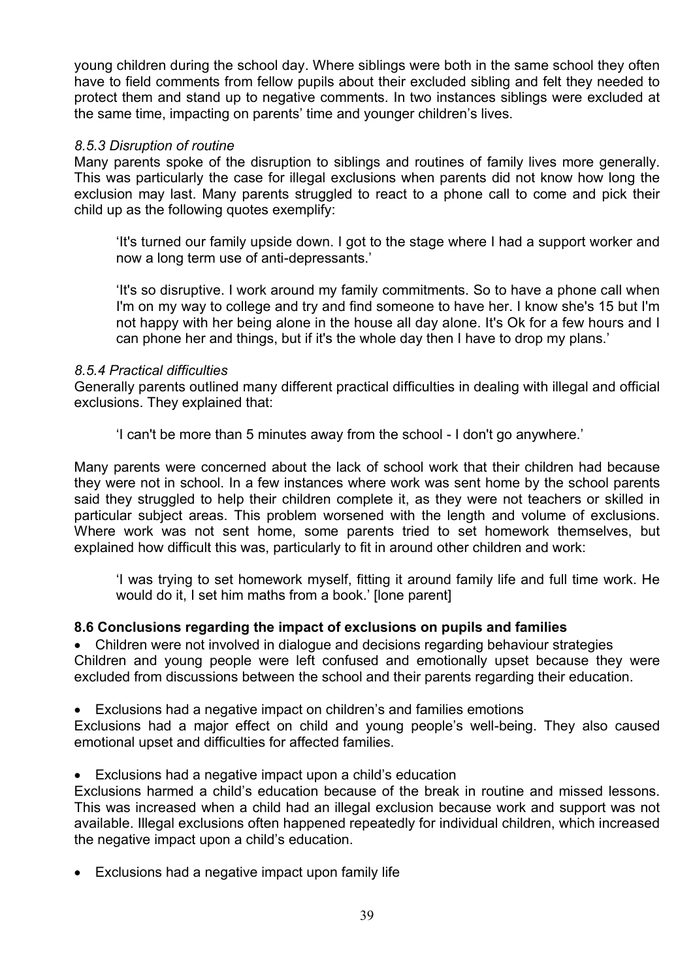young children during the school day. Where siblings were both in the same school they often have to field comments from fellow pupils about their excluded sibling and felt they needed to protect them and stand up to negative comments. In two instances siblings were excluded at the same time, impacting on parents' time and younger children's lives.

## *8.5.3 Disruption of routine*

Many parents spoke of the disruption to siblings and routines of family lives more generally. This was particularly the case for illegal exclusions when parents did not know how long the exclusion may last. Many parents struggled to react to a phone call to come and pick their child up as the following quotes exemplify:

'It's turned our family upside down. I got to the stage where I had a support worker and now a long term use of anti-depressants.'

'It's so disruptive. I work around my family commitments. So to have a phone call when I'm on my way to college and try and find someone to have her. I know she's 15 but I'm not happy with her being alone in the house all day alone. It's Ok for a few hours and I can phone her and things, but if it's the whole day then I have to drop my plans.'

#### *8.5.4 Practical difficulties*

Generally parents outlined many different practical difficulties in dealing with illegal and official exclusions. They explained that:

'I can't be more than 5 minutes away from the school - I don't go anywhere.'

Many parents were concerned about the lack of school work that their children had because they were not in school. In a few instances where work was sent home by the school parents said they struggled to help their children complete it, as they were not teachers or skilled in particular subject areas. This problem worsened with the length and volume of exclusions. Where work was not sent home, some parents tried to set homework themselves, but explained how difficult this was, particularly to fit in around other children and work:

'I was trying to set homework myself, fitting it around family life and full time work. He would do it, I set him maths from a book.' [lone parent]

## **8.6 Conclusions regarding the impact of exclusions on pupils and families**

• Children were not involved in dialogue and decisions regarding behaviour strategies Children and young people were left confused and emotionally upset because they were excluded from discussions between the school and their parents regarding their education.

Exclusions had a negative impact on children's and families emotions

Exclusions had a major effect on child and young people's well-being. They also caused emotional upset and difficulties for affected families.

Exclusions had a negative impact upon a child's education

Exclusions harmed a child's education because of the break in routine and missed lessons. This was increased when a child had an illegal exclusion because work and support was not available. Illegal exclusions often happened repeatedly for individual children, which increased the negative impact upon a child's education.

Exclusions had a negative impact upon family life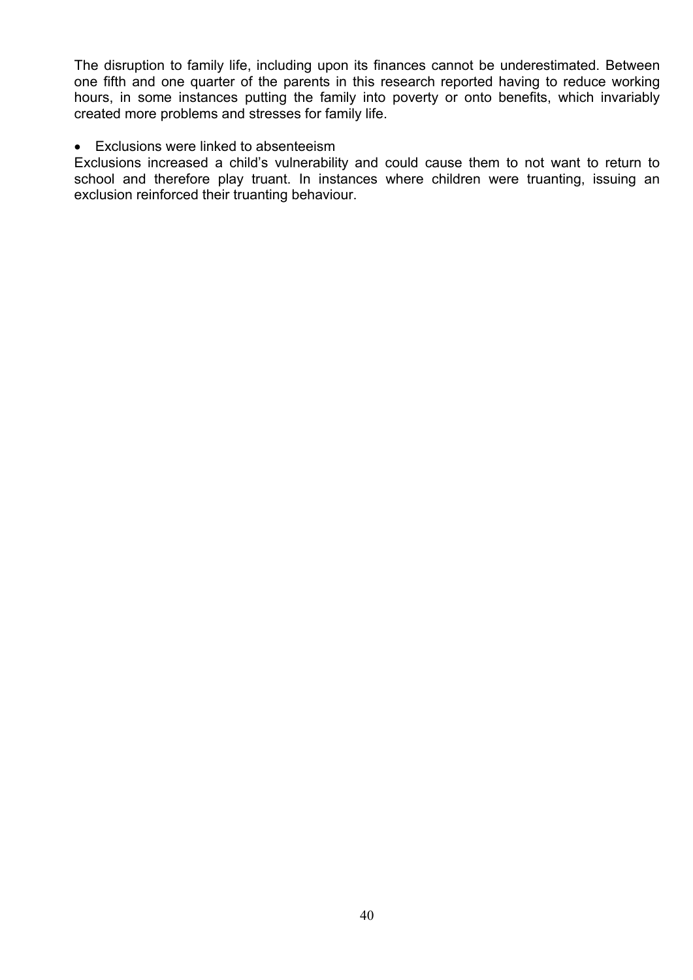The disruption to family life, including upon its finances cannot be underestimated. Between one fifth and one quarter of the parents in this research reported having to reduce working hours, in some instances putting the family into poverty or onto benefits, which invariably created more problems and stresses for family life.

#### Exclusions were linked to absenteeism

Exclusions increased a child's vulnerability and could cause them to not want to return to school and therefore play truant. In instances where children were truanting, issuing an exclusion reinforced their truanting behaviour.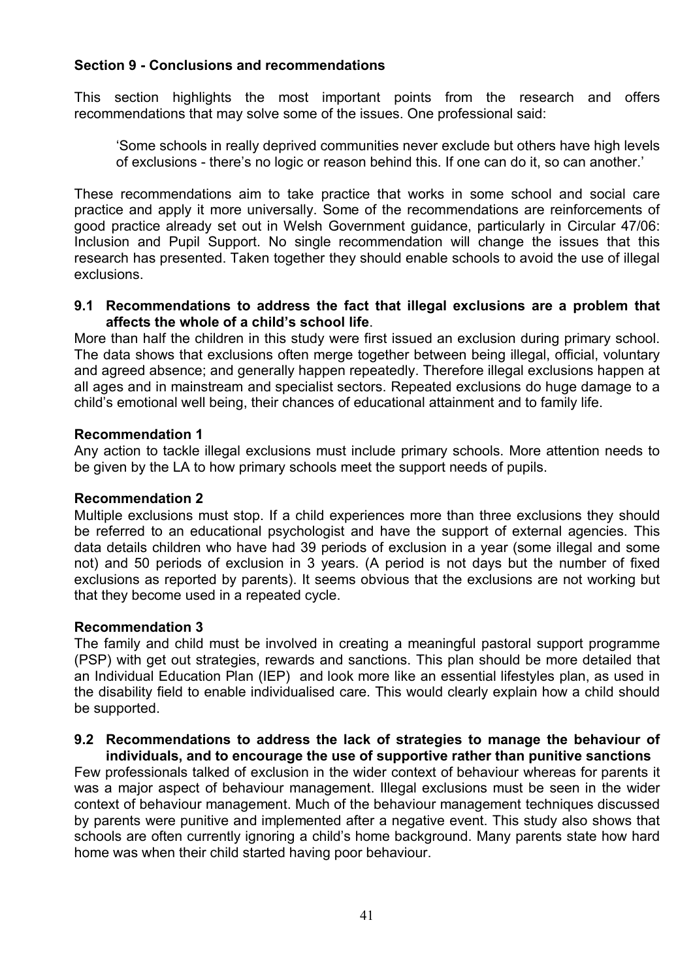## **Section 9 - Conclusions and recommendations**

This section highlights the most important points from the research and offers recommendations that may solve some of the issues. One professional said:

'Some schools in really deprived communities never exclude but others have high levels of exclusions - there's no logic or reason behind this. If one can do it, so can another.'

These recommendations aim to take practice that works in some school and social care practice and apply it more universally. Some of the recommendations are reinforcements of good practice already set out in Welsh Government guidance, particularly in Circular 47/06: Inclusion and Pupil Support. No single recommendation will change the issues that this research has presented. Taken together they should enable schools to avoid the use of illegal exclusions.

#### **9.1 Recommendations to address the fact that illegal exclusions are a problem that affects the whole of a child's school life**.

More than half the children in this study were first issued an exclusion during primary school. The data shows that exclusions often merge together between being illegal, official, voluntary and agreed absence; and generally happen repeatedly. Therefore illegal exclusions happen at all ages and in mainstream and specialist sectors. Repeated exclusions do huge damage to a child's emotional well being, their chances of educational attainment and to family life.

## **Recommendation 1**

Any action to tackle illegal exclusions must include primary schools. More attention needs to be given by the LA to how primary schools meet the support needs of pupils.

## **Recommendation 2**

Multiple exclusions must stop. If a child experiences more than three exclusions they should be referred to an educational psychologist and have the support of external agencies. This data details children who have had 39 periods of exclusion in a year (some illegal and some not) and 50 periods of exclusion in 3 years. (A period is not days but the number of fixed exclusions as reported by parents). It seems obvious that the exclusions are not working but that they become used in a repeated cycle.

## **Recommendation 3**

The family and child must be involved in creating a meaningful pastoral support programme (PSP) with get out strategies, rewards and sanctions. This plan should be more detailed that an Individual Education Plan (IEP) and look more like an essential lifestyles plan, as used in the disability field to enable individualised care. This would clearly explain how a child should be supported.

## **9.2 Recommendations to address the lack of strategies to manage the behaviour of individuals, and to encourage the use of supportive rather than punitive sanctions**

Few professionals talked of exclusion in the wider context of behaviour whereas for parents it was a major aspect of behaviour management. Illegal exclusions must be seen in the wider context of behaviour management. Much of the behaviour management techniques discussed by parents were punitive and implemented after a negative event. This study also shows that schools are often currently ignoring a child's home background. Many parents state how hard home was when their child started having poor behaviour.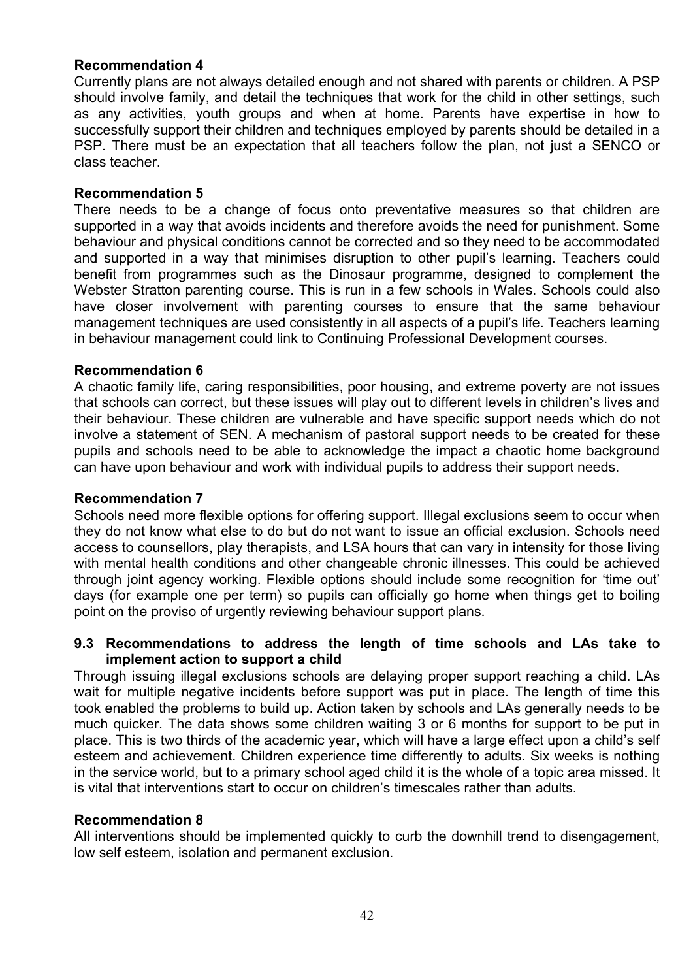## **Recommendation 4**

Currently plans are not always detailed enough and not shared with parents or children. A PSP should involve family, and detail the techniques that work for the child in other settings, such as any activities, youth groups and when at home. Parents have expertise in how to successfully support their children and techniques employed by parents should be detailed in a PSP. There must be an expectation that all teachers follow the plan, not just a SENCO or class teacher.

#### **Recommendation 5**

There needs to be a change of focus onto preventative measures so that children are supported in a way that avoids incidents and therefore avoids the need for punishment. Some behaviour and physical conditions cannot be corrected and so they need to be accommodated and supported in a way that minimises disruption to other pupil's learning. Teachers could benefit from programmes such as the Dinosaur programme, designed to complement the Webster Stratton parenting course. This is run in a few schools in Wales. Schools could also have closer involvement with parenting courses to ensure that the same behaviour management techniques are used consistently in all aspects of a pupil's life. Teachers learning in behaviour management could link to Continuing Professional Development courses.

#### **Recommendation 6**

A chaotic family life, caring responsibilities, poor housing, and extreme poverty are not issues that schools can correct, but these issues will play out to different levels in children's lives and their behaviour. These children are vulnerable and have specific support needs which do not involve a statement of SEN. A mechanism of pastoral support needs to be created for these pupils and schools need to be able to acknowledge the impact a chaotic home background can have upon behaviour and work with individual pupils to address their support needs.

#### **Recommendation 7**

Schools need more flexible options for offering support. Illegal exclusions seem to occur when they do not know what else to do but do not want to issue an official exclusion. Schools need access to counsellors, play therapists, and LSA hours that can vary in intensity for those living with mental health conditions and other changeable chronic illnesses. This could be achieved through joint agency working. Flexible options should include some recognition for 'time out' days (for example one per term) so pupils can officially go home when things get to boiling point on the proviso of urgently reviewing behaviour support plans.

## **9.3 Recommendations to address the length of time schools and LAs take to implement action to support a child**

Through issuing illegal exclusions schools are delaying proper support reaching a child. LAs wait for multiple negative incidents before support was put in place. The length of time this took enabled the problems to build up. Action taken by schools and LAs generally needs to be much quicker. The data shows some children waiting 3 or 6 months for support to be put in place. This is two thirds of the academic year, which will have a large effect upon a child's self esteem and achievement. Children experience time differently to adults. Six weeks is nothing in the service world, but to a primary school aged child it is the whole of a topic area missed. It is vital that interventions start to occur on children's timescales rather than adults.

#### **Recommendation 8**

All interventions should be implemented quickly to curb the downhill trend to disengagement, low self esteem, isolation and permanent exclusion.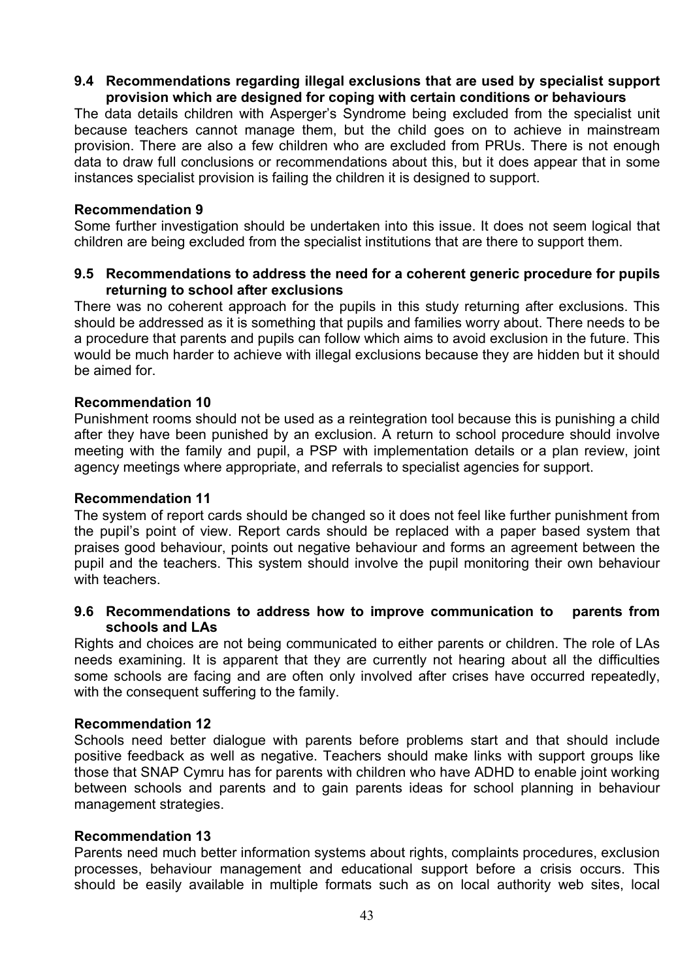#### **9.4 Recommendations regarding illegal exclusions that are used by specialist support provision which are designed for coping with certain conditions or behaviours**

The data details children with Asperger's Syndrome being excluded from the specialist unit because teachers cannot manage them, but the child goes on to achieve in mainstream provision. There are also a few children who are excluded from PRUs. There is not enough data to draw full conclusions or recommendations about this, but it does appear that in some instances specialist provision is failing the children it is designed to support.

#### **Recommendation 9**

Some further investigation should be undertaken into this issue. It does not seem logical that children are being excluded from the specialist institutions that are there to support them.

#### **9.5 Recommendations to address the need for a coherent generic procedure for pupils returning to school after exclusions**

There was no coherent approach for the pupils in this study returning after exclusions. This should be addressed as it is something that pupils and families worry about. There needs to be a procedure that parents and pupils can follow which aims to avoid exclusion in the future. This would be much harder to achieve with illegal exclusions because they are hidden but it should be aimed for.

## **Recommendation 10**

Punishment rooms should not be used as a reintegration tool because this is punishing a child after they have been punished by an exclusion. A return to school procedure should involve meeting with the family and pupil, a PSP with implementation details or a plan review, joint agency meetings where appropriate, and referrals to specialist agencies for support.

#### **Recommendation 11**

The system of report cards should be changed so it does not feel like further punishment from the pupil's point of view. Report cards should be replaced with a paper based system that praises good behaviour, points out negative behaviour and forms an agreement between the pupil and the teachers. This system should involve the pupil monitoring their own behaviour with teachers.

#### **9.6 Recommendations to address how to improve communication to parents from schools and LAs**

Rights and choices are not being communicated to either parents or children. The role of LAs needs examining. It is apparent that they are currently not hearing about all the difficulties some schools are facing and are often only involved after crises have occurred repeatedly, with the consequent suffering to the family.

#### **Recommendation 12**

Schools need better dialogue with parents before problems start and that should include positive feedback as well as negative. Teachers should make links with support groups like those that SNAP Cymru has for parents with children who have ADHD to enable joint working between schools and parents and to gain parents ideas for school planning in behaviour management strategies.

## **Recommendation 13**

Parents need much better information systems about rights, complaints procedures, exclusion processes, behaviour management and educational support before a crisis occurs. This should be easily available in multiple formats such as on local authority web sites, local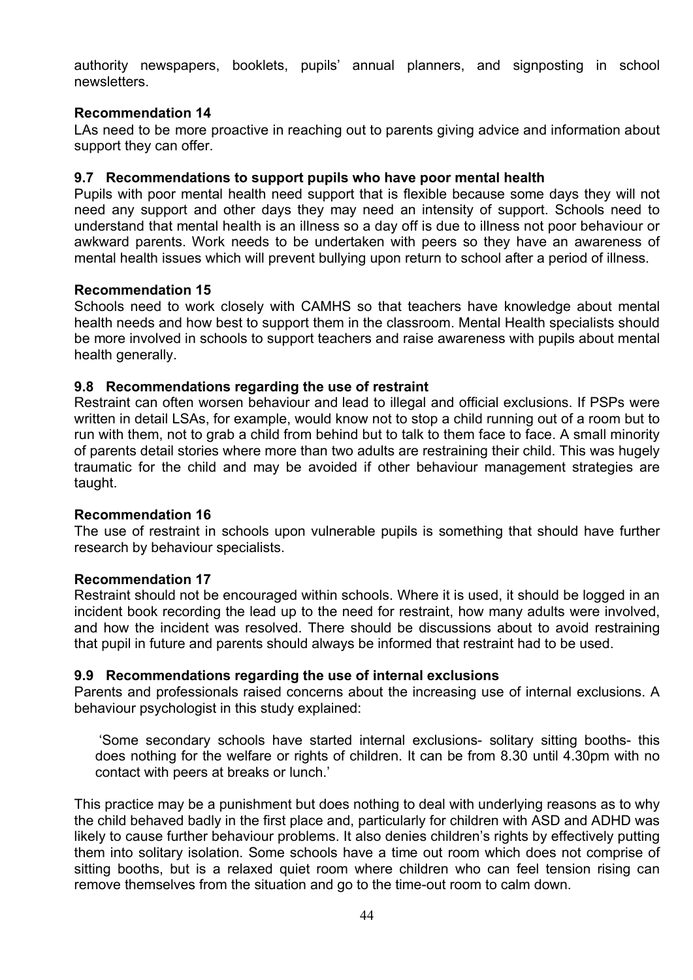authority newspapers, booklets, pupils' annual planners, and signposting in school newsletters.

## **Recommendation 14**

LAs need to be more proactive in reaching out to parents giving advice and information about support they can offer.

#### **9.7 Recommendations to support pupils who have poor mental health**

Pupils with poor mental health need support that is flexible because some days they will not need any support and other days they may need an intensity of support. Schools need to understand that mental health is an illness so a day off is due to illness not poor behaviour or awkward parents. Work needs to be undertaken with peers so they have an awareness of mental health issues which will prevent bullying upon return to school after a period of illness.

#### **Recommendation 15**

Schools need to work closely with CAMHS so that teachers have knowledge about mental health needs and how best to support them in the classroom. Mental Health specialists should be more involved in schools to support teachers and raise awareness with pupils about mental health generally.

#### **9.8 Recommendations regarding the use of restraint**

Restraint can often worsen behaviour and lead to illegal and official exclusions. If PSPs were written in detail LSAs, for example, would know not to stop a child running out of a room but to run with them, not to grab a child from behind but to talk to them face to face. A small minority of parents detail stories where more than two adults are restraining their child. This was hugely traumatic for the child and may be avoided if other behaviour management strategies are taught.

#### **Recommendation 16**

The use of restraint in schools upon vulnerable pupils is something that should have further research by behaviour specialists.

#### **Recommendation 17**

Restraint should not be encouraged within schools. Where it is used, it should be logged in an incident book recording the lead up to the need for restraint, how many adults were involved, and how the incident was resolved. There should be discussions about to avoid restraining that pupil in future and parents should always be informed that restraint had to be used.

#### **9.9 Recommendations regarding the use of internal exclusions**

Parents and professionals raised concerns about the increasing use of internal exclusions. A behaviour psychologist in this study explained:

 'Some secondary schools have started internal exclusions- solitary sitting booths- this does nothing for the welfare or rights of children. It can be from 8.30 until 4.30pm with no contact with peers at breaks or lunch.'

This practice may be a punishment but does nothing to deal with underlying reasons as to why the child behaved badly in the first place and, particularly for children with ASD and ADHD was likely to cause further behaviour problems. It also denies children's rights by effectively putting them into solitary isolation. Some schools have a time out room which does not comprise of sitting booths, but is a relaxed quiet room where children who can feel tension rising can remove themselves from the situation and go to the time-out room to calm down.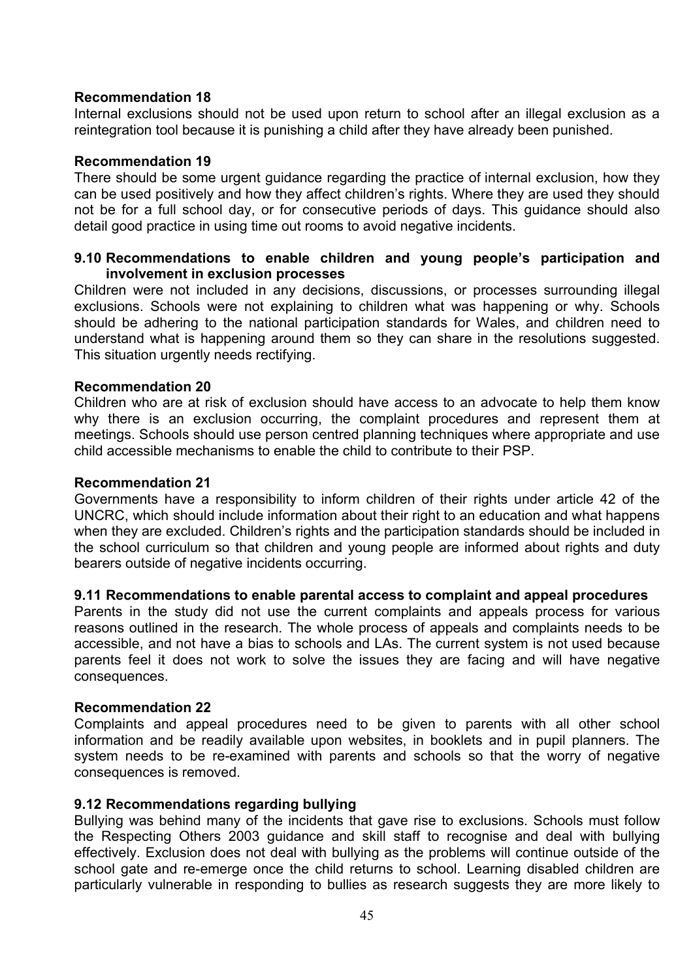#### **Recommendation 18**

Internal exclusions should not be used upon return to school after an illegal exclusion as a reintegration tool because it is punishing a child after they have already been punished.

#### **Recommendation 19**

There should be some urgent guidance regarding the practice of internal exclusion, how they can be used positively and how they affect children's rights. Where they are used they should not be for a full school day, or for consecutive periods of days. This guidance should also detail good practice in using time out rooms to avoid negative incidents.

#### **9.10 Recommendations to enable children and young people's participation and involvement in exclusion processes**

Children were not included in any decisions, discussions, or processes surrounding illegal exclusions. Schools were not explaining to children what was happening or why. Schools should be adhering to the national participation standards for Wales, and children need to understand what is happening around them so they can share in the resolutions suggested. This situation urgently needs rectifying.

#### **Recommendation 20**

Children who are at risk of exclusion should have access to an advocate to help them know why there is an exclusion occurring, the complaint procedures and represent them at meetings. Schools should use person centred planning techniques where appropriate and use child accessible mechanisms to enable the child to contribute to their PSP.

#### **Recommendation 21**

Governments have a responsibility to inform children of their rights under article 42 of the UNCRC, which should include information about their right to an education and what happens when they are excluded. Children's rights and the participation standards should be included in the school curriculum so that children and young people are informed about rights and duty bearers outside of negative incidents occurring.

## **9.11 Recommendations to enable parental access to complaint and appeal procedures**

Parents in the study did not use the current complaints and appeals process for various reasons outlined in the research. The whole process of appeals and complaints needs to be accessible, and not have a bias to schools and LAs. The current system is not used because parents feel it does not work to solve the issues they are facing and will have negative consequences.

#### **Recommendation 22**

Complaints and appeal procedures need to be given to parents with all other school information and be readily available upon websites, in booklets and in pupil planners. The system needs to be re-examined with parents and schools so that the worry of negative consequences is removed.

## **9.12 Recommendations regarding bullying**

Bullying was behind many of the incidents that gave rise to exclusions. Schools must follow the Respecting Others 2003 guidance and skill staff to recognise and deal with bullying effectively. Exclusion does not deal with bullying as the problems will continue outside of the school gate and re-emerge once the child returns to school. Learning disabled children are particularly vulnerable in responding to bullies as research suggests they are more likely to